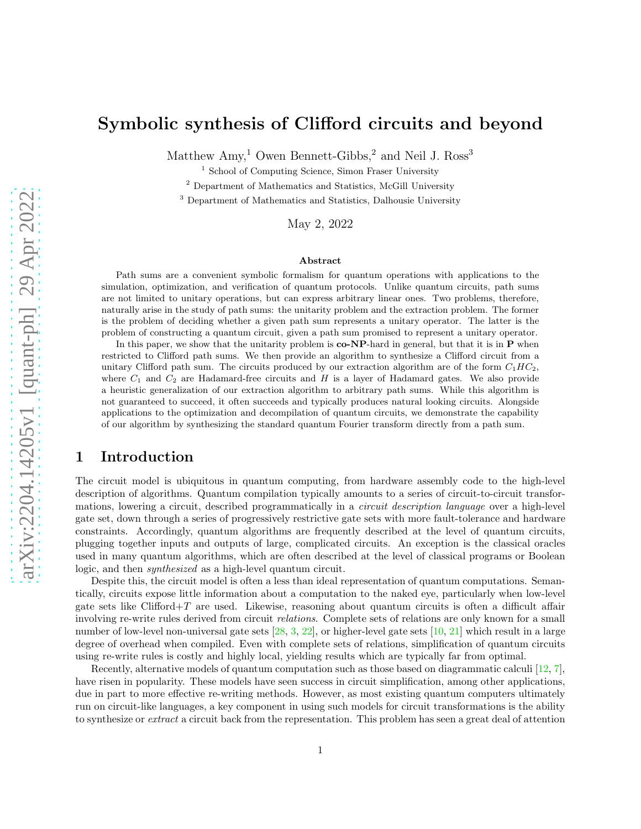# Symbolic synthesis of Clifford circuits and beyond

Matthew  $\text{Amy}$ <sup>1</sup> Owen Bennett-Gibbs,<sup>2</sup> and Neil J. Ross<sup>3</sup>

<sup>1</sup> School of Computing Science, Simon Fraser University

<sup>2</sup> Department of Mathematics and Statistics, McGill University

<sup>3</sup> Department of Mathematics and Statistics, Dalhousie University

May 2, 2022

#### Abstract

Path sums are a convenient symbolic formalism for quantum operations with applications to the simulation, optimization, and verification of quantum protocols. Unlike quantum circuits, path sums are not limited to unitary operations, but can express arbitrary linear ones. Two problems, therefore, naturally arise in the study of path sums: the unitarity problem and the extraction problem. The former is the problem of deciding whether a given path sum represents a unitary operator. The latter is the problem of constructing a quantum circuit, given a path sum promised to represent a unitary operator.

In this paper, we show that the unitarity problem is  $co-NP$ -hard in general, but that it is in  $P$  when restricted to Clifford path sums. We then provide an algorithm to synthesize a Clifford circuit from a unitary Clifford path sum. The circuits produced by our extraction algorithm are of the form  $C_1HC_2$ , where  $C_1$  and  $C_2$  are Hadamard-free circuits and H is a layer of Hadamard gates. We also provide a heuristic generalization of our extraction algorithm to arbitrary path sums. While this algorithm is not guaranteed to succeed, it often succeeds and typically produces natural looking circuits. Alongside applications to the optimization and decompilation of quantum circuits, we demonstrate the capability of our algorithm by synthesizing the standard quantum Fourier transform directly from a path sum.

# 1 Introduction

The circuit model is ubiquitous in quantum computing, from hardware assembly code to the high-level description of algorithms. Quantum compilation typically amounts to a series of circuit-to-circuit transformations, lowering a circuit, described programmatically in a *circuit description language* over a high-level gate set, down through a series of progressively restrictive gate sets with more fault-tolerance and hardware constraints. Accordingly, quantum algorithms are frequently described at the level of quantum circuits, plugging together inputs and outputs of large, complicated circuits. An exception is the classical oracles used in many quantum algorithms, which are often described at the level of classical programs or Boolean logic, and then synthesized as a high-level quantum circuit.

Despite this, the circuit model is often a less than ideal representation of quantum computations. Semantically, circuits expose little information about a computation to the naked eye, particularly when low-level gate sets like  $Clifford+T$  are used. Likewise, reasoning about quantum circuits is often a difficult affair involving re-write rules derived from circuit relations. Complete sets of relations are only known for a small number of low-level non-universal gate sets [\[28,](#page-13-0) [3,](#page-12-0) [22\]](#page-13-1), or higher-level gate sets [\[10,](#page-12-1) [21\]](#page-13-2) which result in a large degree of overhead when compiled. Even with complete sets of relations, simplification of quantum circuits using re-write rules is costly and highly local, yielding results which are typically far from optimal.

Recently, alternative models of quantum computation such as those based on diagrammatic calculi [\[12,](#page-12-2) [7\]](#page-12-3), have risen in popularity. These models have seen success in circuit simplification, among other applications, due in part to more effective re-writing methods. However, as most existing quantum computers ultimately run on circuit-like languages, a key component in using such models for circuit transformations is the ability to synthesize or *extract* a circuit back from the representation. This problem has seen a great deal of attention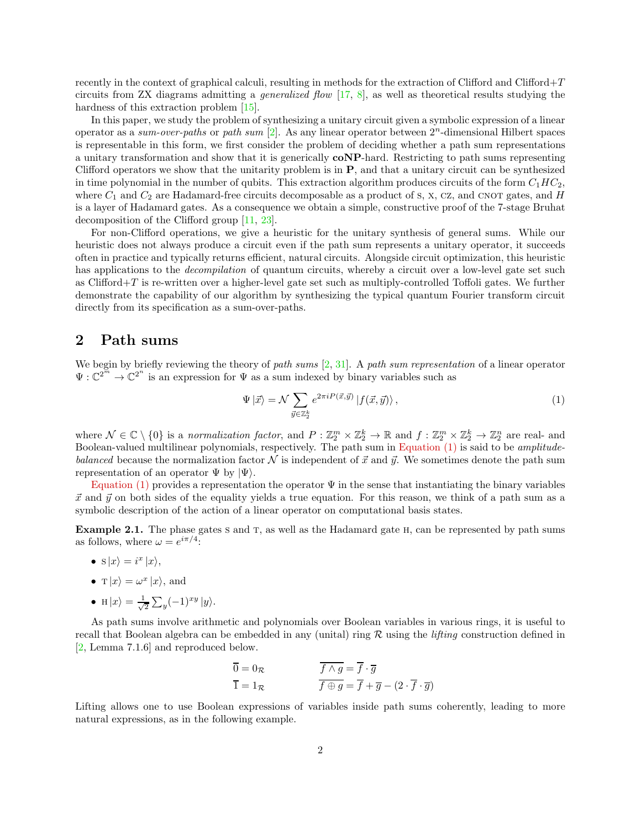recently in the context of graphical calculi, resulting in methods for the extraction of Clifford and Clifford+T circuits from ZX diagrams admitting a *generalized flow*  $[17, 8]$  $[17, 8]$  $[17, 8]$ , as well as theoretical results studying the hardness of this extraction problem [\[15\]](#page-12-6).

In this paper, we study the problem of synthesizing a unitary circuit given a symbolic expression of a linear operator as a sum-over-paths or path sum  $[2]$ . As any linear operator between  $2<sup>n</sup>$ -dimensional Hilbert spaces is representable in this form, we first consider the problem of deciding whether a path sum representations a unitary transformation and show that it is generically coNP-hard. Restricting to path sums representing Clifford operators we show that the unitarity problem is in P, and that a unitary circuit can be synthesized in time polynomial in the number of qubits. This extraction algorithm produces circuits of the form  $C_1HC_2$ , where  $C_1$  and  $C_2$  are Hadamard-free circuits decomposable as a product of s, x, Cz, and CNOT gates, and H is a layer of Hadamard gates. As a consequence we obtain a simple, constructive proof of the 7-stage Bruhat decomposition of the Clifford group [\[11,](#page-12-8) [23\]](#page-13-3).

For non-Clifford operations, we give a heuristic for the unitary synthesis of general sums. While our heuristic does not always produce a circuit even if the path sum represents a unitary operator, it succeeds often in practice and typically returns efficient, natural circuits. Alongside circuit optimization, this heuristic has applications to the *decompilation* of quantum circuits, whereby a circuit over a low-level gate set such as Clifford+T is re-written over a higher-level gate set such as multiply-controlled Toffoli gates. We further demonstrate the capability of our algorithm by synthesizing the typical quantum Fourier transform circuit directly from its specification as a sum-over-paths.

## <span id="page-1-1"></span>2 Path sums

We begin by briefly reviewing the theory of path sums  $[2, 31]$  $[2, 31]$  $[2, 31]$ . A path sum representation of a linear operator  $\Psi: \mathbb{C}^{2^m} \to \mathbb{C}^{2^n}$  is an expression for  $\Psi$  as a sum indexed by binary variables such as

<span id="page-1-0"></span>
$$
\Psi \left| \vec{x} \right\rangle = \mathcal{N} \sum_{\vec{y} \in \mathbb{Z}_2^k} e^{2\pi i P(\vec{x}, \vec{y})} \left| f(\vec{x}, \vec{y}) \right\rangle, \tag{1}
$$

where  $\mathcal{N} \in \mathbb{C} \setminus \{0\}$  is a normalization factor, and  $P: \mathbb{Z}_2^m \times \mathbb{Z}_2^k \to \mathbb{R}$  and  $f: \mathbb{Z}_2^m \times \mathbb{Z}_2^k \to \mathbb{Z}_2^n$  are real- and Boolean-valued multilinear polynomials, respectively. The path sum in [Equation \(1\)](#page-1-0) is said to be amplitudebalanced because the normalization factor  $\mathcal N$  is independent of  $\vec x$  and  $\vec y$ . We sometimes denote the path sum representation of an operator  $\Psi$  by  $|\Psi\rangle$ .

[Equation \(1\)](#page-1-0) provides a representation the operator  $\Psi$  in the sense that instantiating the binary variables  $\vec{x}$  and  $\vec{y}$  on both sides of the equality yields a true equation. For this reason, we think of a path sum as a symbolic description of the action of a linear operator on computational basis states.

Example 2.1. The phase gates s and T, as well as the Hadamard gate H, can be represented by path sums as follows, where  $\omega = e^{i\pi/4}$ :

- $s|x\rangle = i^x|x\rangle,$
- $\mathbf{T} |x\rangle = \omega^x |x\rangle$ , and
- H  $|x\rangle = \frac{1}{\sqrt{2}}$  $\frac{1}{2}\sum_{y}(-1)^{xy}|y\rangle.$

As path sums involve arithmetic and polynomials over Boolean variables in various rings, it is useful to recall that Boolean algebra can be embedded in any (unital) ring  $R$  using the *lifting* construction defined in [\[2,](#page-12-7) Lemma 7.1.6] and reproduced below.

$$
\overline{0} = 0_{\mathcal{R}}
$$
  
\n
$$
\overline{1} = 1_{\mathcal{R}}
$$
  
\n
$$
\overline{f \wedge g} = \overline{f} \cdot \overline{g}
$$
  
\n
$$
\overline{f \oplus g} = \overline{f} + \overline{g} - (2 \cdot \overline{f} \cdot \overline{g})
$$

Lifting allows one to use Boolean expressions of variables inside path sums coherently, leading to more natural expressions, as in the following example.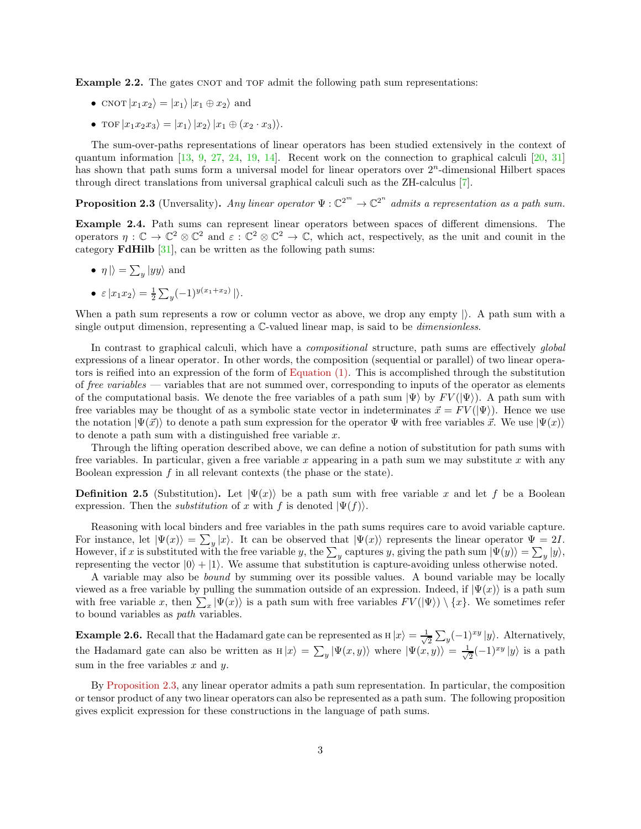**Example 2.2.** The gates CNOT and TOF admit the following path sum representations:

- CNOT  $|x_1x_2\rangle = |x_1\rangle |x_1 \oplus x_2\rangle$  and
- TOF  $|x_1x_2x_3\rangle = |x_1\rangle |x_2\rangle |x_1 \oplus (x_2 \cdot x_3)\rangle.$

The sum-over-paths representations of linear operators has been studied extensively in the context of quantum information [\[13,](#page-12-9) [9,](#page-12-10) [27,](#page-13-5) [24,](#page-13-6) [19,](#page-13-7) [14\]](#page-12-11). Recent work on the connection to graphical calculi [\[20,](#page-13-8) [31\]](#page-13-4) has shown that path sums form a universal model for linear operators over  $2<sup>n</sup>$ -dimensional Hilbert spaces through direct translations from universal graphical calculi such as the ZH-calculus [\[7\]](#page-12-3).

<span id="page-2-0"></span>**Proposition 2.3** (Unversality). Any linear operator  $\Psi : \mathbb{C}^{2^m} \to \mathbb{C}^{2^n}$  admits a representation as a path sum.

Example 2.4. Path sums can represent linear operators between spaces of different dimensions. The operators  $\eta: \mathbb{C} \to \mathbb{C}^2 \otimes \mathbb{C}^2$  and  $\varepsilon: \mathbb{C}^2 \otimes \mathbb{C}^2 \to \mathbb{C}$ , which act, respectively, as the unit and counit in the category FdHilb [\[31\]](#page-13-4), can be written as the following path sums:

- $\eta \mid \rangle = \sum_{y} |yy\rangle$  and
- $\varepsilon |x_1 x_2\rangle = \frac{1}{2} \sum_y (-1)^{y(x_1+x_2)} |\rangle.$

When a path sum represents a row or column vector as above, we drop any empty  $\vert$ . A path sum with a single output dimension, representing a  $\mathbb{C}$ -valued linear map, is said to be *dimensionless*.

In contrast to graphical calculi, which have a *compositional* structure, path sums are effectively *qlobal* expressions of a linear operator. In other words, the composition (sequential or parallel) of two linear operators is reified into an expression of the form of [Equation \(1\).](#page-1-0) This is accomplished through the substitution of free variables — variables that are not summed over, corresponding to inputs of the operator as elements of the computational basis. We denote the free variables of a path sum  $|\Psi\rangle$  by  $FV(|\Psi\rangle)$ . A path sum with free variables may be thought of as a symbolic state vector in indeterminates  $\vec{x} = F V(|\Psi\rangle)$ . Hence we use the notation  $|\Psi(\vec{x})\rangle$  to denote a path sum expression for the operator  $\Psi$  with free variables  $\vec{x}$ . We use  $|\Psi(x)\rangle$ to denote a path sum with a distinguished free variable x.

Through the lifting operation described above, we can define a notion of substitution for path sums with free variables. In particular, given a free variable x appearing in a path sum we may substitute x with any Boolean expression  $f$  in all relevant contexts (the phase or the state).

**Definition 2.5** (Substitution). Let  $|\Psi(x)\rangle$  be a path sum with free variable x and let f be a Boolean expression. Then the *substitution* of x with f is denoted  $|\Psi(f)|$ .

Reasoning with local binders and free variables in the path sums requires care to avoid variable capture. For instance, let  $|\Psi(x)\rangle = \sum_{y}|x\rangle$ . It can be observed that  $|\Psi(x)\rangle$  represents the linear operator  $\Psi = 2I$ . However, if x is substituted with the free variable y, the  $\sum_{y}$  captures y, giving the path sum  $|\Psi(y)\rangle = \sum_{y} |y\rangle$ , representing the vector  $|0\rangle + |1\rangle$ . We assume that substitution is capture-avoiding unless otherwise noted.

A variable may also be bound by summing over its possible values. A bound variable may be locally viewed as a free variable by pulling the summation outside of an expression. Indeed, if  $|\Psi(x)\rangle$  is a path sum with free variable x, then  $\sum_x |\Psi(x)\rangle$  is a path sum with free variables  $FV(|\Psi\rangle) \setminus \{x\}$ . We sometimes refer to bound variables as path variables.

**Example 2.6.** Recall that the Hadamard gate can be represented as  $H|x\rangle = \frac{1}{\sqrt{x}}$  $\frac{1}{2} \sum_{y} (-1)^{xy} |y\rangle$ . Alternatively, the Hadamard gate can also be written as  $H|x\rangle = \sum_y |\Psi(x, y)\rangle$  where  $|\Psi(x, y)\rangle = \frac{1}{\sqrt{2\pi}}$  $\frac{1}{2}(-1)^{xy}|y\rangle$  is a path sum in the free variables  $x$  and  $y$ .

By [Proposition 2.3,](#page-2-0) any linear operator admits a path sum representation. In particular, the composition or tensor product of any two linear operators can also be represented as a path sum. The following proposition gives explicit expression for these constructions in the language of path sums.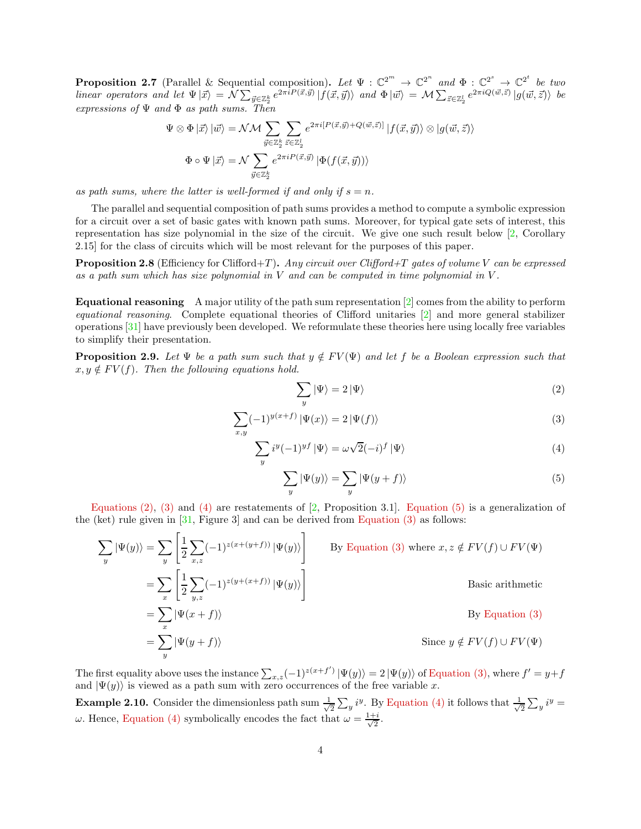**Proposition 2.7** (Parallel & Sequential composition). Let  $\Psi : \mathbb{C}^{2^m} \to \mathbb{C}^{2^n}$  and  $\Phi : \mathbb{C}^{2^s} \to \mathbb{C}^{2^t}$  be two  $\text{linear operators and let } \Psi | \vec{x} \rangle = \mathcal{N} \sum_{\vec{y} \in \mathbb{Z}_2^k} e^{2\pi i P(\vec{x}, \vec{y})} |f(\vec{x}, \vec{y})\rangle \text{ and } \Phi | \vec{w} \rangle = \mathcal{M} \sum_{\vec{z} \in \mathbb{Z}_2^l} e^{2\pi i Q(\vec{w}, \vec{z})} |g(\vec{w}, \vec{z})\rangle \text{ be }$ expressions of  $\Psi$  and  $\Phi$  as path sums. Then

$$
\Psi \otimes \Phi \left| \vec{x} \right\rangle \left| \vec{w} \right\rangle = \mathcal{N} \mathcal{M} \sum_{\vec{y} \in \mathbb{Z}_2^k} \sum_{\vec{z} \in \mathbb{Z}_2^l} e^{2\pi i [P(\vec{x}, \vec{y}) + Q(\vec{w}, \vec{z})]} \left| f(\vec{x}, \vec{y}) \right\rangle \otimes \left| g(\vec{w}, \vec{z}) \right\rangle
$$
  

$$
\Phi \circ \Psi \left| \vec{x} \right\rangle = \mathcal{N} \sum_{\vec{y} \in \mathbb{Z}_2^k} e^{2\pi i P(\vec{x}, \vec{y})} \left| \Phi(f(\vec{x}, \vec{y})) \right\rangle
$$

as path sums, where the latter is well-formed if and only if  $s = n$ .

The parallel and sequential composition of path sums provides a method to compute a symbolic expression for a circuit over a set of basic gates with known path sums. Moreover, for typical gate sets of interest, this representation has size polynomial in the size of the circuit. We give one such result below [\[2,](#page-12-7) Corollary 2.15] for the class of circuits which will be most relevant for the purposes of this paper.

**Proposition 2.8** (Efficiency for Clifford+T). Any circuit over Clifford+T gates of volume V can be expressed as a path sum which has size polynomial in  $V$  and can be computed in time polynomial in  $V$ .

**Equational reasoning** A major utility of the path sum representation  $[2]$  comes from the ability to perform equational reasoning. Complete equational theories of Clifford unitaries [\[2\]](#page-12-7) and more general stabilizer operations [\[31\]](#page-13-4) have previously been developed. We reformulate these theories here using locally free variables to simplify their presentation.

<span id="page-3-4"></span>**Proposition 2.9.** Let  $\Psi$  be a path sum such that  $y \notin FV(\Psi)$  and let f be a Boolean expression such that  $x, y \notin FV(f)$ . Then the following equations hold.

<span id="page-3-2"></span><span id="page-3-1"></span><span id="page-3-0"></span>
$$
\sum_{y} |\Psi\rangle = 2 |\Psi\rangle \tag{2}
$$

$$
\sum_{x,y} (-1)^{y(x+f)} \left| \Psi(x) \right\rangle = 2 \left| \Psi(f) \right\rangle \tag{3}
$$

$$
\sum_{y} i^{y} (-1)^{y} |\Psi\rangle = \omega \sqrt{2} (-i)^{f} |\Psi\rangle \tag{4}
$$

<span id="page-3-3"></span>
$$
\sum_{y} |\Psi(y)\rangle = \sum_{y} |\Psi(y+f)\rangle
$$
\n(5)

Equations  $(2)$ ,  $(3)$  and  $(4)$  are restatements of [\[2,](#page-12-7) Proposition 3.1]. [Equation \(5\)](#page-3-3) is a generalization of the (ket) rule given in  $[31,$  Figure 3 and can be derived from Equation  $(3)$  as follows:

$$
\sum_{y} |\Psi(y)\rangle = \sum_{y} \left[ \frac{1}{2} \sum_{x,z} (-1)^{z(x+(y+f))} |\Psi(y)\rangle \right]
$$
 By Equation (3) where  $x, z \notin FV(f) \cup FV(\Psi)$   
\n
$$
= \sum_{x} \left[ \frac{1}{2} \sum_{y,z} (-1)^{z(y+(x+f))} |\Psi(y)\rangle \right]
$$
Basic arithmetic  
\n
$$
= \sum_{x} |\Psi(x+f)\rangle
$$
 By Equation (3)  
\n
$$
= \sum_{y} |\Psi(y+f)\rangle
$$
 Since  $y \notin FV(f) \cup FV(\Psi)$ 

The first equality above uses the instance  $\sum_{x,z}(-1)^{z(x+f')}|\Psi(y)\rangle=2|\Psi(y)\rangle$  of [Equation \(3\),](#page-3-1) where  $f'=y+f$ and  $|\Psi(y)\rangle$  is viewed as a path sum with zero occurrences of the free variable x.

**Example 2.10.** Consider the dimensionless path sum  $\frac{1}{\sqrt{2}}$  $\frac{1}{2}\sum_{y} i^{y}$ . By [Equation \(4\)](#page-3-2) it follows that  $\frac{1}{\sqrt{2}}$  $\frac{1}{2}\sum_{y} i^y =$ ω. Hence, [Equation \(4\)](#page-3-2) symbolically encodes the fact that  $ω = \frac{1+i}{\sqrt{2}}$  $\frac{1}{2}$ .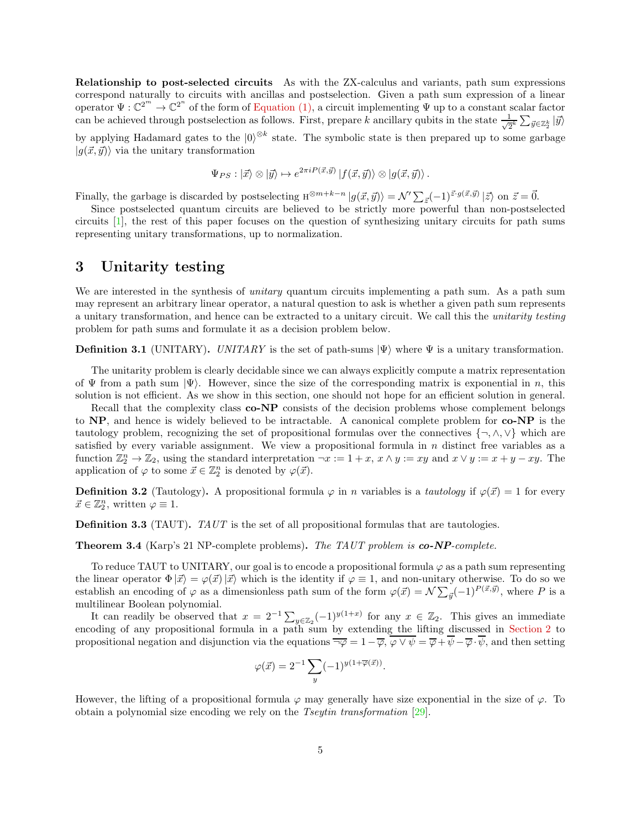Relationship to post-selected circuits As with the ZX-calculus and variants, path sum expressions correspond naturally to circuits with ancillas and postselection. Given a path sum expression of a linear operator  $\Psi: \mathbb{C}^{2^m} \to \mathbb{C}^{2^n}$  of the form of [Equation \(1\),](#page-1-0) a circuit implementing  $\Psi$  up to a constant scalar factor can be achieved through postselection as follows. First, prepare k ancillary qubits in the state  $\frac{1}{\sqrt{2^k}} \sum_{\vec{y} \in \mathbb{Z}_2^k} |\vec{y}\rangle$ 

by applying Hadamard gates to the  $|0\rangle^{\otimes k}$  state. The symbolic state is then prepared up to some garbage  $|g(\vec{x}, \vec{y})\rangle$  via the unitary transformation

$$
\Psi_{PS}: |\vec{x}\rangle \otimes |\vec{y}\rangle \mapsto e^{2\pi i P(\vec{x}, \vec{y})} |f(\vec{x}, \vec{y})\rangle \otimes |g(\vec{x}, \vec{y})\rangle.
$$

Finally, the garbage is discarded by postselecting  $H^{\otimes m+k-n} |g(\vec{x}, \vec{y})\rangle = \mathcal{N}' \sum_{\vec{z}} (-1)^{\vec{z} \cdot g(\vec{x}, \vec{y})} |\vec{z}\rangle$  on  $\vec{z} = \vec{0}$ .

Since postselected quantum circuits are believed to be strictly more powerful than non-postselected circuits [\[1\]](#page-12-12), the rest of this paper focuses on the question of synthesizing unitary circuits for path sums representing unitary transformations, up to normalization.

## 3 Unitarity testing

We are interested in the synthesis of *unitary* quantum circuits implementing a path sum. As a path sum may represent an arbitrary linear operator, a natural question to ask is whether a given path sum represents a unitary transformation, and hence can be extracted to a unitary circuit. We call this the unitarity testing problem for path sums and formulate it as a decision problem below.

**Definition 3.1** (UNITARY). UNITARY is the set of path-sums  $|\Psi\rangle$  where  $\Psi$  is a unitary transformation.

The unitarity problem is clearly decidable since we can always explicitly compute a matrix representation of  $\Psi$  from a path sum  $|\Psi\rangle$ . However, since the size of the corresponding matrix is exponential in n, this solution is not efficient. As we show in this section, one should not hope for an efficient solution in general.

Recall that the complexity class **co-NP** consists of the decision problems whose complement belongs to NP, and hence is widely believed to be intractable. A canonical complete problem for co-NP is the tautology problem, recognizing the set of propositional formulas over the connectives  $\{\neg, \wedge, \vee\}$  which are satisfied by every variable assignment. We view a propositional formula in  $n$  distinct free variables as a function  $\mathbb{Z}_2^n \to \mathbb{Z}_2$ , using the standard interpretation  $\neg x := 1 + x$ ,  $x \wedge y := xy$  and  $x \vee y := x + y - xy$ . The application of  $\varphi$  to some  $\vec{x} \in \mathbb{Z}_2^n$  is denoted by  $\varphi(\vec{x})$ .

**Definition 3.2** (Tautology). A propositional formula  $\varphi$  in *n* variables is a *tautology* if  $\varphi(\vec{x}) = 1$  for every  $\vec{x} \in \mathbb{Z}_2^n$ , written  $\varphi \equiv 1$ .

Definition 3.3 (TAUT). TAUT is the set of all propositional formulas that are tautologies.

Theorem 3.4 (Karp's 21 NP-complete problems). The TAUT problem is co-NP-complete.

To reduce TAUT to UNITARY, our goal is to encode a propositional formula  $\varphi$  as a path sum representing the linear operator  $\Phi|\vec{x}\rangle = \varphi(\vec{x})|\vec{x}\rangle$  which is the identity if  $\varphi \equiv 1$ , and non-unitary otherwise. To do so we establish an encoding of  $\varphi$  as a dimensionless path sum of the form  $\varphi(\vec{x}) = \mathcal{N} \sum_{\vec{y}} (-1)^{P(\vec{x}, \vec{y})}$ , where P is a multilinear Boolean polynomial.

It can readily be observed that  $x = 2^{-1} \sum_{y \in \mathbb{Z}_2} (-1)^{y(1+x)}$  for any  $x \in \mathbb{Z}_2$ . This gives an immediate encoding of any propositional formula in a path sum by extending the lifting discussed in [Section 2](#page-1-1) to propositional negation and disjunction via the equations  $\overline{\neg \varphi} = 1 - \overline{\varphi}$ ,  $\varphi \vee \psi = \overline{\varphi} + \psi - \overline{\varphi} \cdot \psi$ , and then setting

$$
\varphi(\vec{x}) = 2^{-1} \sum_{y} (-1)^{y(1+\overline{\varphi}(\vec{x}))}.
$$

However, the lifting of a propositional formula  $\varphi$  may generally have size exponential in the size of  $\varphi$ . To obtain a polynomial size encoding we rely on the Tseytin transformation [\[29\]](#page-13-9).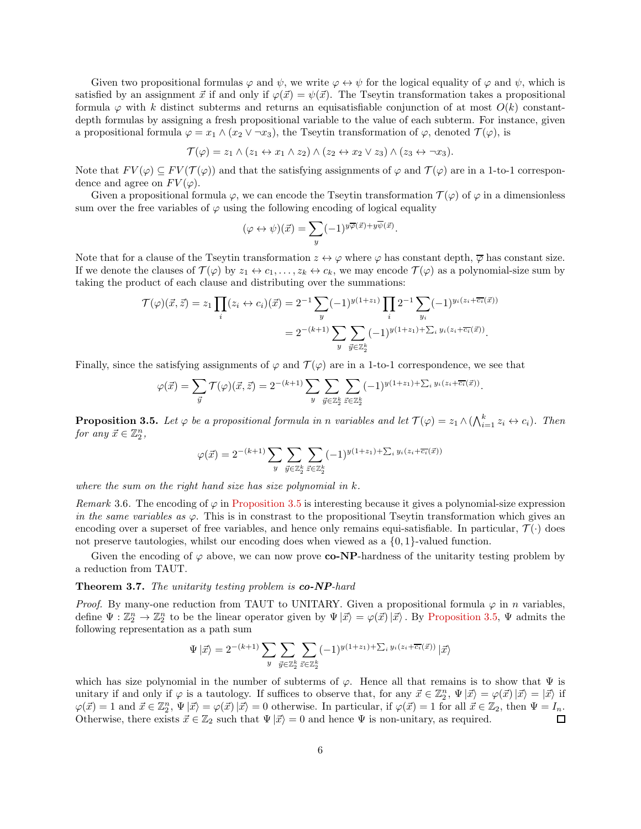Given two propositional formulas  $\varphi$  and  $\psi$ , we write  $\varphi \leftrightarrow \psi$  for the logical equality of  $\varphi$  and  $\psi$ , which is satisfied by an assignment  $\vec{x}$  if and only if  $\varphi(\vec{x}) = \psi(\vec{x})$ . The Tseytin transformation takes a propositional formula  $\varphi$  with k distinct subterms and returns an equisatisfiable conjunction of at most  $O(k)$  constantdepth formulas by assigning a fresh propositional variable to the value of each subterm. For instance, given a propositional formula  $\varphi = x_1 \wedge (x_2 \vee \neg x_3)$ , the Tseytin transformation of  $\varphi$ , denoted  $\mathcal{T}(\varphi)$ , is

$$
\mathcal{T}(\varphi) = z_1 \wedge (z_1 \leftrightarrow x_1 \wedge z_2) \wedge (z_2 \leftrightarrow x_2 \vee z_3) \wedge (z_3 \leftrightarrow \neg x_3).
$$

Note that  $FV(\varphi) \subseteq FV(\mathcal{T}(\varphi))$  and that the satisfying assignments of  $\varphi$  and  $\mathcal{T}(\varphi)$  are in a 1-to-1 correspondence and agree on  $FV(\varphi)$ .

Given a propositional formula  $\varphi$ , we can encode the Tseytin transformation  $\mathcal{T}(\varphi)$  of  $\varphi$  in a dimensionless sum over the free variables of  $\varphi$  using the following encoding of logical equality

$$
(\varphi \leftrightarrow \psi)(\vec{x}) = \sum_{y} (-1)^{y\overline{\varphi}(\vec{x}) + y\overline{\psi}(\vec{x})}.
$$

Note that for a clause of the Tseytin transformation  $z \leftrightarrow \varphi$  where  $\varphi$  has constant depth,  $\overline{\varphi}$  has constant size. If we denote the clauses of  $\mathcal{T}(\varphi)$  by  $z_1 \leftrightarrow c_1, \ldots, z_k \leftrightarrow c_k$ , we may encode  $\mathcal{T}(\varphi)$  as a polynomial-size sum by taking the product of each clause and distributing over the summations:

$$
\mathcal{T}(\varphi)(\vec{x}, \vec{z}) = z_1 \prod_i (z_i \leftrightarrow c_i)(\vec{x}) = 2^{-1} \sum_y (-1)^{y(1+z_1)} \prod_i 2^{-1} \sum_{y_i} (-1)^{y_i(z_i + \overline{c_i}(\vec{x}))}
$$
  
= 
$$
2^{-(k+1)} \sum_y \sum_{\vec{y} \in \mathbb{Z}_2^k} (-1)^{y(1+z_1) + \sum_i y_i(z_i + \overline{c_i}(\vec{x}))}.
$$

Finally, since the satisfying assignments of  $\varphi$  and  $\mathcal{T}(\varphi)$  are in a 1-to-1 correspondence, we see that

$$
\varphi(\vec{x}) = \sum_{\vec{y}} \mathcal{T}(\varphi)(\vec{x}, \vec{z}) = 2^{-(k+1)} \sum_{y} \sum_{\vec{y} \in \mathbb{Z}_2^k} \sum_{\vec{z} \in \mathbb{Z}_2^k} (-1)^{y(1+z_1) + \sum_i y_i(z_i + \overline{c_i}(\vec{x}))}.
$$

<span id="page-5-0"></span>**Proposition 3.5.** Let  $\varphi$  be a propositional formula in n variables and let  $\mathcal{T}(\varphi) = z_1 \wedge (\bigwedge_{i=1}^k z_i \leftrightarrow c_i)$ . Then for any  $\vec{x} \in \mathbb{Z}_2^n$ ,

$$
\varphi(\vec{x}) = 2^{-(k+1)} \sum_{y} \sum_{\vec{y} \in \mathbb{Z}_2^k} \sum_{\vec{z} \in \mathbb{Z}_2^k} (-1)^{y(1+z_1) + \sum_i y_i(z_i + \overline{c_i}(\vec{x}))}
$$

where the sum on the right hand size has size polynomial in  $k$ .

Remark 3.6. The encoding of  $\varphi$  in [Proposition 3.5](#page-5-0) is interesting because it gives a polynomial-size expression in the same variables as  $\varphi$ . This is in constrast to the propositional Tseytin transformation which gives an encoding over a superset of free variables, and hence only remains equi-satisfiable. In particular,  $\mathcal{T}(\cdot)$  does not preserve tautologies, whilst our encoding does when viewed as a  $\{0, 1\}$ -valued function.

Given the encoding of  $\varphi$  above, we can now prove **co-NP**-hardness of the unitarity testing problem by a reduction from TAUT.

#### Theorem 3.7. The unitarity testing problem is  $co-NP$ -hard

*Proof.* By many-one reduction from TAUT to UNITARY. Given a propositional formula  $\varphi$  in n variables, define  $\Psi: \mathbb{Z}_2^n \to \mathbb{Z}_2^n$  to be the linear operator given by  $\Psi | \vec{x} \rangle = \varphi(\vec{x}) | \vec{x} \rangle$ . By [Proposition 3.5,](#page-5-0)  $\Psi$  admits the following representation as a path sum

$$
\Psi \left| \vec{x} \right\rangle = 2^{-(k+1)} \sum_{y} \sum_{\vec{y} \in \mathbb{Z}_2^k} \sum_{\vec{z} \in \mathbb{Z}_2^k} (-1)^{y(1+z_1) + \sum_i y_i(z_i + \overline{c_i}(\vec{x}))} \left| \vec{x} \right\rangle
$$

which has size polynomial in the number of subterms of  $\varphi$ . Hence all that remains is to show that  $\Psi$  is unitary if and only if  $\varphi$  is a tautology. If suffices to observe that, for any  $\vec{x} \in \mathbb{Z}_2^n$ ,  $\Psi | \vec{x} \rangle = \varphi(\vec{x}) | \vec{x} \rangle = | \vec{x} \rangle$  if  $\varphi(\vec{x}) = 1$  and  $\vec{x} \in \mathbb{Z}_2^n$ ,  $\Psi(\vec{x}) = \varphi(\vec{x}) \ket{\vec{x}} = 0$  otherwise. In particular, if  $\varphi(\vec{x}) = 1$  for all  $\vec{x} \in \mathbb{Z}_2$ , then  $\Psi = I_n$ . Otherwise, there exists  $\vec{x} \in \mathbb{Z}_2$  such that  $\Psi | \vec{x} \rangle = 0$  and hence  $\Psi$  is non-unitary, as required.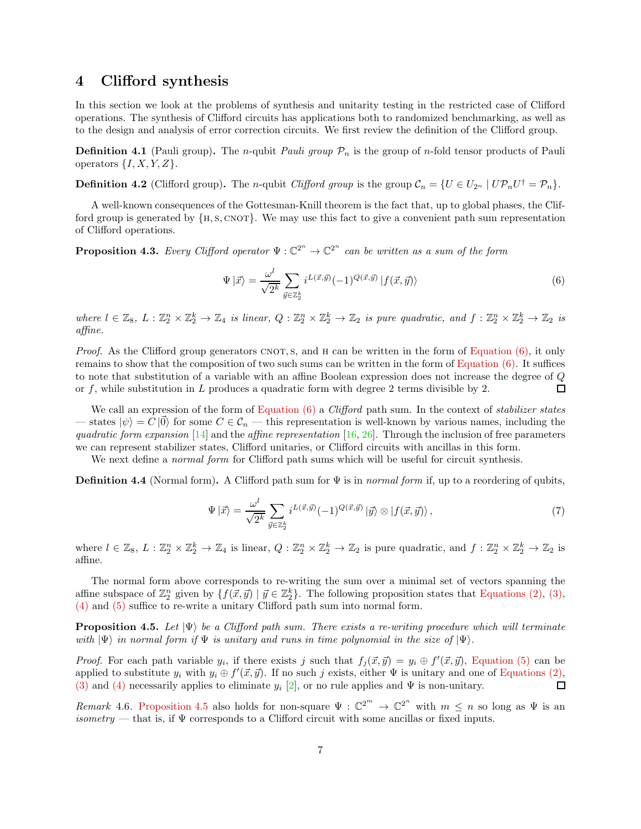## 4 Clifford synthesis

In this section we look at the problems of synthesis and unitarity testing in the restricted case of Clifford operations. The synthesis of Clifford circuits has applications both to randomized benchmarking, as well as to the design and analysis of error correction circuits. We first review the definition of the Clifford group.

**Definition 4.1** (Pauli group). The *n*-qubit *Pauli group*  $\mathcal{P}_n$  is the group of *n*-fold tensor products of Pauli operators  $\{I, X, Y, Z\}.$ 

**Definition 4.2** (Clifford group). The *n*-qubit *Clifford group* is the group  $C_n = \{U \in U_{2^n} \mid U \mathcal{P}_n U^{\dagger} = \mathcal{P}_n\}.$ 

A well-known consequences of the Gottesman-Knill theorem is the fact that, up to global phases, the Clifford group is generated by  $\{H, S, CNOT\}$ . We may use this fact to give a convenient path sum representation of Clifford operations.

**Proposition 4.3.** Every Clifford operator  $\Psi : \mathbb{C}^{2^n} \to \mathbb{C}^{2^n}$  can be written as a sum of the form

<span id="page-6-0"></span>
$$
\Psi \left| \vec{x} \right\rangle = \frac{\omega^l}{\sqrt{2^k}} \sum_{\vec{y} \in \mathbb{Z}_2^k} i^{L(\vec{x}, \vec{y})} (-1)^{Q(\vec{x}, \vec{y})} \left| f(\vec{x}, \vec{y}) \right\rangle \tag{6}
$$

where  $l \in \mathbb{Z}_8$ ,  $L: \mathbb{Z}_2^n \times \mathbb{Z}_2^k \to \mathbb{Z}_4$  is linear,  $Q: \mathbb{Z}_2^n \times \mathbb{Z}_2^k \to \mathbb{Z}_2$  is pure quadratic, and  $f: \mathbb{Z}_2^n \times \mathbb{Z}_2^k \to \mathbb{Z}_2$  is affine.

*Proof.* As the Clifford group generators CNOT, s, and H can be written in the form of Equation  $(6)$ , it only remains to show that the composition of two such sums can be written in the form of [Equation \(6\).](#page-6-0) It suffices to note that substitution of a variable with an affine Boolean expression does not increase the degree of Q or f, while substitution in L produces a quadratic form with degree 2 terms divisible by 2. □

We call an expression of the form of Equation  $(6)$  a *Clifford* path sum. In the context of *stabilizer states* — states  $|\psi\rangle = C |0\rangle$  for some  $C \in \mathcal{C}_n$  — this representation is well-known by various names, including the quadratic form expansion [\[14\]](#page-12-11) and the affine representation [\[16,](#page-12-13) [26\]](#page-13-10). Through the inclusion of free parameters we can represent stabilizer states, Clifford unitaries, or Clifford circuits with ancillas in this form.

We next define a *normal form* for Clifford path sums which will be useful for circuit synthesis.

**Definition 4.4** (Normal form). A Clifford path sum for  $\Psi$  is in *normal form* if, up to a reordering of qubits,

$$
\Psi \left| \vec{x} \right\rangle = \frac{\omega^l}{\sqrt{2^k}} \sum_{\vec{y} \in \mathbb{Z}_2^k} i^{L(\vec{x}, \vec{y})} (-1)^{Q(\vec{x}, \vec{y})} \left| \vec{y} \right\rangle \otimes \left| f(\vec{x}, \vec{y}) \right\rangle, \tag{7}
$$

where  $l \in \mathbb{Z}_8$ ,  $L: \mathbb{Z}_2^n \times \mathbb{Z}_2^k \to \mathbb{Z}_4$  is linear,  $Q: \mathbb{Z}_2^n \times \mathbb{Z}_2^k \to \mathbb{Z}_2$  is pure quadratic, and  $f: \mathbb{Z}_2^n \times \mathbb{Z}_2^k \to \mathbb{Z}_2$  is affine.

The normal form above corresponds to re-writing the sum over a minimal set of vectors spanning the affine subspace of  $\mathbb{Z}_2^n$  given by  $\{f(\vec{x}, \vec{y}) \mid \vec{y} \in \mathbb{Z}_2^k\}$ . The following proposition states that [Equations \(2\),](#page-3-0) [\(3\),](#page-3-1) [\(4\)](#page-3-2) and [\(5\)](#page-3-3) suffice to re-write a unitary Clifford path sum into normal form.

<span id="page-6-1"></span>**Proposition 4.5.** Let  $|\Psi\rangle$  be a Clifford path sum. There exists a re-writing procedure which will terminate with  $|\Psi\rangle$  in normal form if  $\Psi$  is unitary and runs in time polynomial in the size of  $|\Psi\rangle$ .

*Proof.* For each path variable  $y_i$ , if there exists j such that  $f_j(\vec{x}, \vec{y}) = y_i \oplus f'(\vec{x}, \vec{y})$ , [Equation \(5\)](#page-3-3) can be applied to substitute  $y_i$  with  $y_i \oplus f'(\vec{x}, \vec{y})$ . If no such j exists, either  $\Psi$  is unitary and one of [Equations \(2\),](#page-3-0) [\(3\)](#page-3-1) and [\(4\)](#page-3-2) necessarily applies to eliminate  $y_i$  [\[2\]](#page-12-7), or no rule applies and  $\Psi$  is non-unitary.  $\Box$ 

Remark 4.6. [Proposition 4.5](#page-6-1) also holds for non-square  $\Psi : \mathbb{C}^{2^m} \to \mathbb{C}^{2^n}$  with  $m \leq n$  so long as  $\Psi$  is an isometry — that is, if  $\Psi$  corresponds to a Clifford circuit with some ancillas or fixed inputs.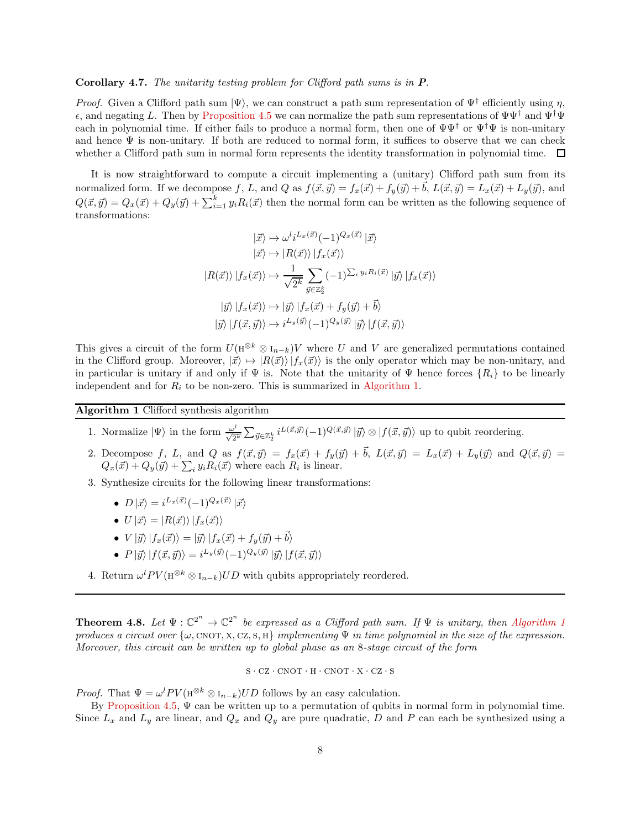#### Corollary 4.7. The unitarity testing problem for Clifford path sums is in P.

*Proof.* Given a Clifford path sum  $|\Psi\rangle$ , we can construct a path sum representation of  $\Psi^{\dagger}$  efficiently using  $\eta$ ,  $\epsilon$ , and negating L. Then by [Proposition 4.5](#page-6-1) we can normalize the path sum representations of  $\Psi\Psi^{\dagger}$  and  $\Psi^{\dagger}\Psi$ each in polynomial time. If either fails to produce a normal form, then one of  $\Psi\Psi^{\dagger}$  or  $\Psi^{\dagger}\Psi$  is non-unitary and hence  $\Psi$  is non-unitary. If both are reduced to normal form, it suffices to observe that we can check whether a Clifford path sum in normal form represents the identity transformation in polynomial time.  $\Box$ 

It is now straightforward to compute a circuit implementing a (unitary) Clifford path sum from its normalized form. If we decompose f, L, and Q as  $f(\vec{x}, \vec{y}) = f_x(\vec{x}) + f_y(\vec{y}) + \vec{b}$ ,  $L(\vec{x}, \vec{y}) = L_x(\vec{x}) + L_y(\vec{y})$ , and  $Q(\vec{x}, \vec{y}) = Q_x(\vec{x}) + Q_y(\vec{y}) + \sum_{i=1}^{k} y_i R_i(\vec{x})$  then the normal form can be written as the following sequence of transformations:

$$
|\vec{x}\rangle \mapsto \omega^{l}i^{L_{x}(\vec{x})}(-1)^{Q_{x}(\vec{x})}|\vec{x}\rangle
$$

$$
|\vec{x}\rangle \mapsto |R(\vec{x})\rangle |f_{x}(\vec{x})\rangle
$$

$$
|R(\vec{x})\rangle |f_{x}(\vec{x})\rangle \mapsto \frac{1}{\sqrt{2^{k}}} \sum_{\vec{y}\in\mathbb{Z}_{2}^{k}} (-1)^{\sum_{i} y_{i}R_{i}(\vec{x})}|\vec{y}\rangle |f_{x}(\vec{x})\rangle
$$

$$
|\vec{y}\rangle |f_{x}(\vec{x})\rangle \mapsto |\vec{y}\rangle |f_{x}(\vec{x}) + f_{y}(\vec{y}) + \vec{b}\rangle
$$

$$
|\vec{y}\rangle |f(\vec{x}, \vec{y})\rangle \mapsto i^{L_{y}(\vec{y})}(-1)^{Q_{y}(\vec{y})}|\vec{y}\rangle |f(\vec{x}, \vec{y})\rangle
$$

This gives a circuit of the form  $U(H^{\otimes k} \otimes I_{n-k})V$  where U and V are generalized permutations contained in the Clifford group. Moreover,  $|\vec{x}\rangle \mapsto |R(\vec{x})\rangle |f_x(\vec{x})\rangle$  is the only operator which may be non-unitary, and in particular is unitary if and only if  $\Psi$  is. Note that the unitarity of  $\Psi$  hence forces  $\{R_i\}$  to be linearly independent and for  $R_i$  to be non-zero. This is summarized in [Algorithm 1.](#page-7-0)

<span id="page-7-0"></span>Algorithm 1 Clifford synthesis algorithm

- 1. Normalize  $|\Psi\rangle$  in the form  $\frac{\omega^l}{\sqrt{2^k}} \sum_{\vec{y} \in \mathbb{Z}_2^k} i^{L(\vec{x}, \vec{y})}(-1)^{Q(\vec{x}, \vec{y})} |\vec{y}\rangle \otimes |f(\vec{x}, \vec{y})\rangle$  up to qubit reordering.
- 2. Decompose f, L, and Q as  $f(\vec{x}, \vec{y}) = f_x(\vec{x}) + f_y(\vec{y}) + \vec{b}$ ,  $L(\vec{x}, \vec{y}) = L_x(\vec{x}) + L_y(\vec{y})$  and  $Q(\vec{x}, \vec{y}) =$  $Q_x(\vec{x}) + Q_y(\vec{y}) + \sum_i y_i R_i(\vec{x})$  where each  $R_i$  is linear.
- 3. Synthesize circuits for the following linear transformations:
	- $D |\vec{x}\rangle = i^{L_x(\vec{x})} (-1)^{Q_x(\vec{x})} |\vec{x}\rangle$
	- $U|\vec{x}\rangle = |R(\vec{x})\rangle |f_x(\vec{x})\rangle$
	- $V |\vec{y}\rangle |f_x(\vec{x})\rangle = |\vec{y}\rangle |f_x(\vec{x}) + f_y(\vec{y}) + \vec{b}\rangle$
	- $P |\vec{y}\rangle |f(\vec{x}, \vec{y})\rangle = i^{L_y(\vec{y})} (-1)^{Q_y(\vec{y})} |\vec{y}\rangle |f(\vec{x}, \vec{y})\rangle$
- 4. Return  $\omega^l PV(\mathbf{H}^{\otimes k} \otimes \mathbf{I}_{n-k})UD$  with qubits appropriately reordered.

<span id="page-7-1"></span>**Theorem 4.8.** Let  $\Psi: \mathbb{C}^{2^n} \to \mathbb{C}^{2^n}$  be expressed as a Clifford path sum. If  $\Psi$  is unitary, then [Algorithm 1](#page-7-0) produces a circuit over  $\{\omega, \text{CNOT}, \text{X}, \text{CZ}, \text{S}, \text{H}\}\$  implementing  $\Psi$  in time polynomial in the size of the expression. Moreover, this circuit can be written up to global phase as an 8-stage circuit of the form

$$
S \cdot CZ \cdot CNOT \cdot H \cdot CNOT \cdot X \cdot CZ \cdot S
$$

*Proof.* That  $\Psi = \omega^l PV(\mathbf{H}^{\otimes k} \otimes \mathbf{I}_{n-k})UD$  follows by an easy calculation.

By [Proposition 4.5,](#page-6-1)  $\Psi$  can be written up to a permutation of qubits in normal form in polynomial time. Since  $L_x$  and  $L_y$  are linear, and  $Q_x$  and  $Q_y$  are pure quadratic, D and P can each be synthesized using a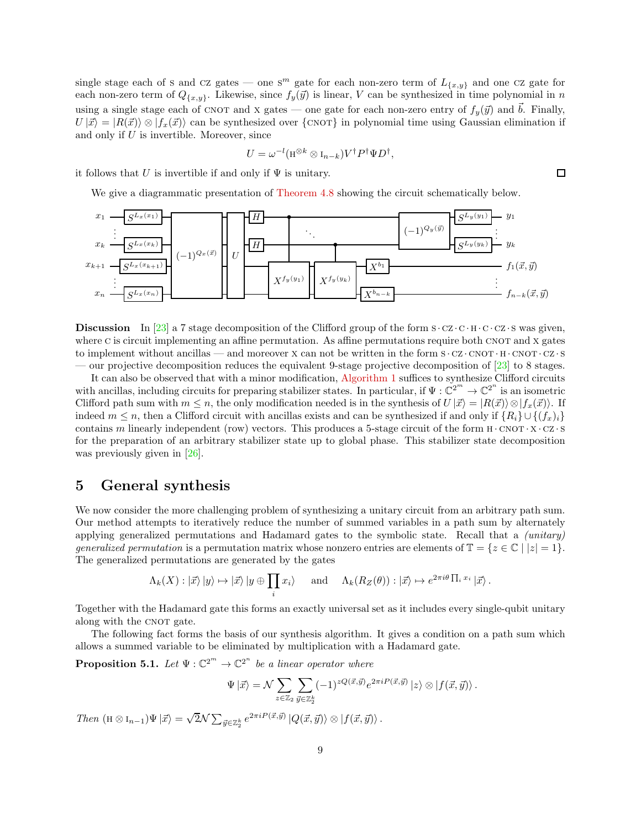single stage each of s and cz gates — one s<sup>m</sup> gate for each non-zero term of  $L_{\{x,y\}}$  and one cz gate for each non-zero term of  $Q_{\{x,y\}}$ . Likewise, since  $f_y(\vec{y})$  is linear, V can be synthesized in time polynomial in n using a single stage each of CNOT and X gates — one gate for each non-zero entry of  $f_y(\vec{y})$  and  $\vec{b}$ . Finally,  $U|\vec{x}\rangle = |R(\vec{x})\rangle \otimes |f_x(\vec{x})\rangle$  can be synthesized over {CNOT} in polynomial time using Gaussian elimination if and only if  $U$  is invertible. Moreover, since

$$
U = \omega^{-l} (\mathbf{H}^{\otimes k} \otimes \mathbf{I}_{n-k}) V^{\dagger} P^{\dagger} \Psi D^{\dagger},
$$

it follows that U is invertible if and only if  $\Psi$  is unitary.

We give a diagrammatic presentation of [Theorem 4.8](#page-7-1) showing the circuit schematically below.



**Discussion** In [\[23\]](#page-13-3) a 7 stage decomposition of the Clifford group of the form  $s \cdot cz \cdot c \cdot h \cdot c \cdot cz \cdot s$  was given, where C is circuit implementing an affine permutation. As affine permutations require both CNOT and X gates to implement without ancillas — and moreover  $X$  can not be written in the form  $S \cdot CZ \cdot CNOT \cdot H \cdot CNOT \cdot CZ \cdot S$ — our projective decomposition reduces the equivalent 9-stage projective decomposition of [\[23\]](#page-13-3) to 8 stages.

It can also be observed that with a minor modification, [Algorithm 1](#page-7-0) suffices to synthesize Clifford circuits with ancillas, including circuits for preparing stabilizer states. In particular, if  $\Psi : \mathbb{C}^{2^m} \to \mathbb{C}^{2^n}$  is an isometric Clifford path sum with  $m \leq n$ , the only modification needed is in the synthesis of  $U|\vec{x}\rangle = |R(\vec{x})\rangle \otimes |f_x(\vec{x})\rangle$ . If indeed  $m \leq n$ , then a Clifford circuit with ancillas exists and can be synthesized if and only if  $\{R_i\} \cup \{(f_x)_i\}$ contains m linearly independent (row) vectors. This produces a 5-stage circuit of the form  $H \cdot CNOT \cdot X \cdot CZ \cdot S$ for the preparation of an arbitrary stabilizer state up to global phase. This stabilizer state decomposition was previously given in [\[26\]](#page-13-10).

# 5 General synthesis

We now consider the more challenging problem of synthesizing a unitary circuit from an arbitrary path sum. Our method attempts to iteratively reduce the number of summed variables in a path sum by alternately applying generalized permutations and Hadamard gates to the symbolic state. Recall that a (unitary) generalized permutation is a permutation matrix whose nonzero entries are elements of  $\mathbb{T} = \{z \in \mathbb{C} \mid |z| = 1\}$ . The generalized permutations are generated by the gates

$$
\Lambda_k(X): \ket{\vec{x}}\ket{y} \mapsto \ket{\vec{x}}\ket{y \oplus \prod_i x_i} \quad \text{and} \quad \Lambda_k(R_Z(\theta)) : \ket{\vec{x}} \mapsto e^{2\pi i \theta \prod_i x_i} \ket{\vec{x}}.
$$

Together with the Hadamard gate this forms an exactly universal set as it includes every single-qubit unitary along with the CNOT gate.

<span id="page-8-0"></span>The following fact forms the basis of our synthesis algorithm. It gives a condition on a path sum which allows a summed variable to be eliminated by multiplication with a Hadamard gate.

**Proposition 5.1.** Let  $\Psi : \mathbb{C}^{2^m} \to \mathbb{C}^{2^n}$  be a linear operator where

$$
\Psi|\vec{x}\rangle = \mathcal{N} \sum_{z \in \mathbb{Z}_2} \sum_{\vec{y} \in \mathbb{Z}_2^k} (-1)^{zQ(\vec{x}, \vec{y})} e^{2\pi i P(\vec{x}, \vec{y})} |z\rangle \otimes |f(\vec{x}, \vec{y})\rangle.
$$

Then  $(H \otimes I_{n-1})\Psi | \vec{x}\rangle = \sqrt{2}\mathcal{N} \sum_{\vec{y} \in \mathbb{Z}_2^k} e^{2\pi i P(\vec{x}, \vec{y})} |Q(\vec{x}, \vec{y})\rangle \otimes |f(\vec{x}, \vec{y})\rangle.$ 

 $\Box$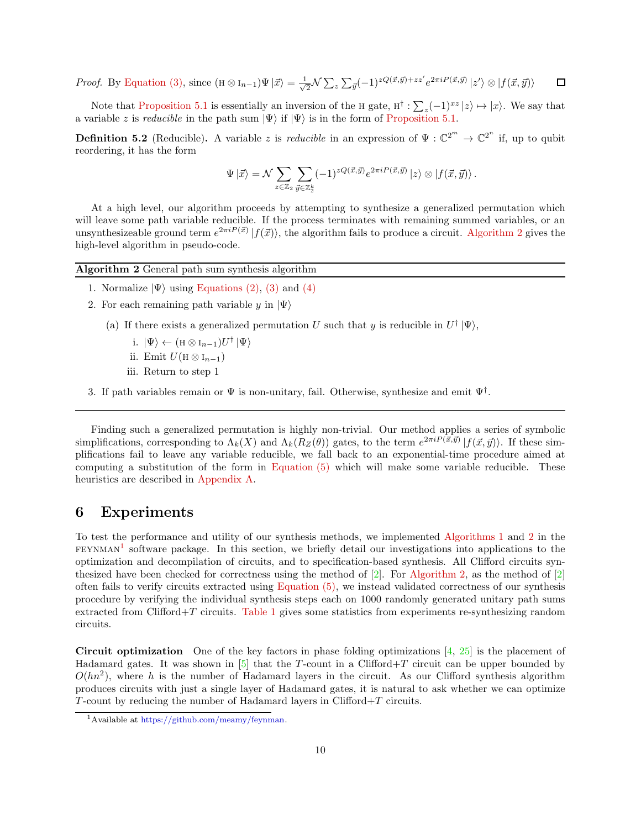$\frac{1}{2} \mathcal{N} \sum_z \sum_{\vec{y}} (-1)^{zQ(\vec{x}, \vec{y}) + zz'} e^{2\pi i P(\vec{x}, \vec{y})} |z'\rangle \otimes |f(\vec{x}, \vec{y})\rangle$ *Proof.* By [Equation \(3\),](#page-3-1) since  $(H \otimes I_{n-1})\Psi | \vec{x}\rangle = \frac{1}{\sqrt{n}}$  $\Box$ 

Note that [Proposition 5.1](#page-8-0) is essentially an inversion of the H gate,  $H^{\dagger} : \sum_{z} (-1)^{xz} |z\rangle \mapsto |x\rangle$ . We say that a variable z is *reducible* in the path sum  $|\Psi\rangle$  if  $|\Psi\rangle$  is in the form of [Proposition 5.1.](#page-8-0)

**Definition 5.2** (Reducible). A variable z is *reducible* in an expression of  $\Psi : \mathbb{C}^{2^m} \to \mathbb{C}^{2^n}$  if, up to qubit reordering, it has the form

$$
\Psi\ket{\vec{x}} = \mathcal{N} \sum_{z\in\mathbb{Z}_2}\sum_{\vec{y}\in\mathbb{Z}_2^k} (-1)^{zQ(\vec{x},\vec{y})}e^{2\pi i P(\vec{x},\vec{y})}\ket{z}\otimes \ket{f(\vec{x},\vec{y})}.
$$

At a high level, our algorithm proceeds by attempting to synthesize a generalized permutation which will leave some path variable reducible. If the process terminates with remaining summed variables, or an unsynthesizeable ground term  $e^{2\pi i P(\vec{x})} |f(\vec{x})\rangle$ , the algorithm fails to produce a circuit. [Algorithm 2](#page-9-0) gives the high-level algorithm in pseudo-code.

<span id="page-9-0"></span>

| Algorithm 2 General path sum synthesis algorithm |  |  |  |  |  |  |
|--------------------------------------------------|--|--|--|--|--|--|
|--------------------------------------------------|--|--|--|--|--|--|

- 1. Normalize  $|\Psi\rangle$  using [Equations \(2\),](#page-3-0) [\(3\)](#page-3-1) and [\(4\)](#page-3-2)
- 2. For each remaining path variable y in  $|\Psi\rangle$ 
	- (a) If there exists a generalized permutation U such that y is reducible in  $U^{\dagger}|\Psi\rangle$ ,
		- i.  $|\Psi\rangle \leftarrow (\mathbf{H} \otimes \mathbf{I}_{n-1})U^{\dagger} |\Psi\rangle$
		- ii. Emit  $U(H \otimes I_{n-1})$
		- iii. Return to step 1
- 3. If path variables remain or  $\Psi$  is non-unitary, fail. Otherwise, synthesize and emit  $\Psi^{\dagger}$ .

Finding such a generalized permutation is highly non-trivial. Our method applies a series of symbolic simplifications, corresponding to  $\Lambda_k(X)$  and  $\Lambda_k(R_Z(\theta))$  gates, to the term  $e^{2\pi i P(\vec{x}, \vec{y})} |f(\vec{x}, \vec{y})\rangle$ . If these simplifications fail to leave any variable reducible, we fall back to an exponential-time procedure aimed at computing a substitution of the form in [Equation \(5\)](#page-3-3) which will make some variable reducible. These heuristics are described in [Appendix A.](#page-13-11)

## 6 Experiments

To test the performance and utility of our synthesis methods, we implemented [Algorithms 1](#page-7-0) and [2](#page-9-0) in the  $FEXNMAN<sup>1</sup>$  $FEXNMAN<sup>1</sup>$  $FEXNMAN<sup>1</sup>$  software package. In this section, we briefly detail our investigations into applications to the optimization and decompilation of circuits, and to specification-based synthesis. All Clifford circuits synthesized have been checked for correctness using the method of  $[2]$ . For [Algorithm 2,](#page-9-0) as the method of  $[2]$ often fails to verify circuits extracted using [Equation \(5\),](#page-3-3) we instead validated correctness of our synthesis procedure by verifying the individual synthesis steps each on 1000 randomly generated unitary path sums extracted from Clifford+T circuits. [Table 1](#page-10-0) gives some statistics from experiments re-synthesizing random circuits.

**Circuit optimization** One of the key factors in phase folding optimizations  $\left[4, 25\right]$  is the placement of Hadamard gates. It was shown in  $[5]$  that the T-count in a Clifford+T circuit can be upper bounded by  $O(hn^2)$ , where h is the number of Hadamard layers in the circuit. As our Clifford synthesis algorithm produces circuits with just a single layer of Hadamard gates, it is natural to ask whether we can optimize  $T$ -count by reducing the number of Hadamard layers in Clifford $+T$  circuits.

<span id="page-9-1"></span><sup>1</sup>Available at [https://github.com/meamy/feynman.](https://github.com/meamy/feynman)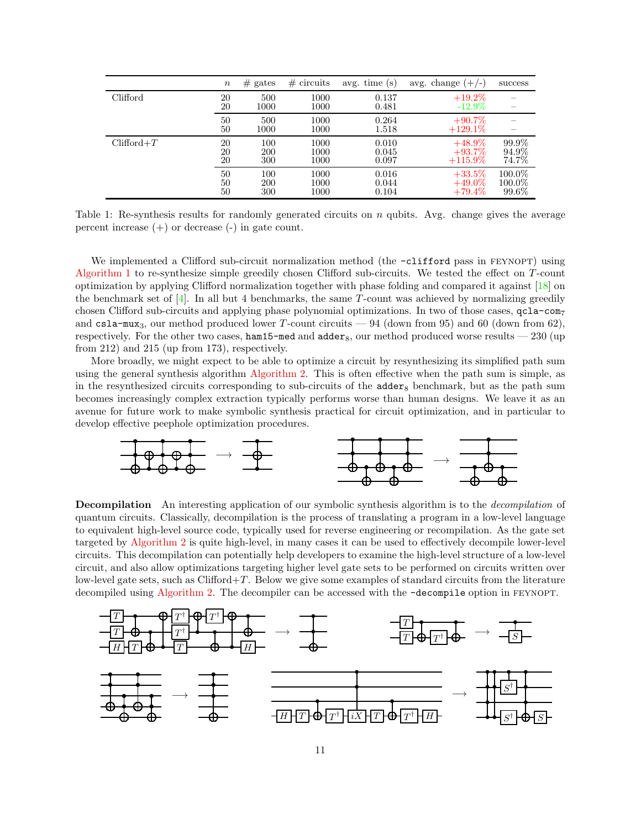|              | $\it{n}$       | $#$ gates                | $\#$ circuits        | avg. time $(s)$         | avg. change $(+/-)$                  | success                   |
|--------------|----------------|--------------------------|----------------------|-------------------------|--------------------------------------|---------------------------|
| Clifford     | 20<br>20       | 500<br>1000              | 1000<br>1000         | 0.137<br>0.481          | $+19.2\%$<br>$-12.9\%$               |                           |
|              | 50<br>50       | 500<br>1000              | 1000<br>1000         | 0.264<br>1.518          | $+90.7\%$<br>$+129.1\%$              |                           |
| $Clifford+T$ | 20<br>20<br>20 | 100<br><b>200</b><br>300 | 1000<br>1000<br>1000 | 0.010<br>0.045<br>0.097 | $+48.9\%$<br>$+93.7\%$<br>$+115.9\%$ | 99.9%<br>94.9%<br>74.7%   |
|              | 50<br>50<br>50 | 100<br><b>200</b><br>300 | 1000<br>1000<br>1000 | 0.016<br>0.044<br>0.104 | $+33.5%$<br>$+49.0\%$<br>$+79.4\%$   | 100.0%<br>100.0%<br>99.6% |

<span id="page-10-0"></span>Table 1: Re-synthesis results for randomly generated circuits on  $n$  qubits. Avg. change gives the average percent increase  $(+)$  or decrease  $(-)$  in gate count.

We implemented a Clifford sub-circuit normalization method (the  $\text{-clifford}$  pass in FEYNOPT) using [Algorithm 1](#page-7-0) to re-synthesize simple greedily chosen Clifford sub-circuits. We tested the effect on T-count optimization by applying Clifford normalization together with phase folding and compared it against [\[18\]](#page-13-13) on the benchmark set of  $[4]$ . In all but 4 benchmarks, the same T-count was achieved by normalizing greedily chosen Clifford sub-circuits and applying phase polynomial optimizations. In two of those cases,  $qcla-com<sub>7</sub>$ and csla-mux<sub>3</sub>, our method produced lower T-count circuits  $-94$  (down from 95) and 60 (down from 62), respectively. For the other two cases, ham15-med and  $\text{adder}_8$ , our method produced worse results  $-230$  (up from 212) and 215 (up from 173), respectively.

More broadly, we might expect to be able to optimize a circuit by resynthesizing its simplified path sum using the general synthesis algorithm [Algorithm 2.](#page-9-0) This is often effective when the path sum is simple, as in the resynthesized circuits corresponding to sub-circuits of the  $\alpha$ dder<sub>8</sub> benchmark, but as the path sum becomes increasingly complex extraction typically performs worse than human designs. We leave it as an avenue for future work to make symbolic synthesis practical for circuit optimization, and in particular to develop effective peephole optimization procedures.



**Decompilation** An interesting application of our symbolic synthesis algorithm is to the *decompilation* of quantum circuits. Classically, decompilation is the process of translating a program in a low-level language to equivalent high-level source code, typically used for reverse engineering or recompilation. As the gate set targeted by [Algorithm 2](#page-9-0) is quite high-level, in many cases it can be used to effectively decompile lower-level circuits. This decompilation can potentially help developers to examine the high-level structure of a low-level circuit, and also allow optimizations targeting higher level gate sets to be performed on circuits written over low-level gate sets, such as  $Clifford+T$ . Below we give some examples of standard circuits from the literature decompiled using [Algorithm 2.](#page-9-0) The decompiler can be accessed with the -decompile option in FEYNOPT.

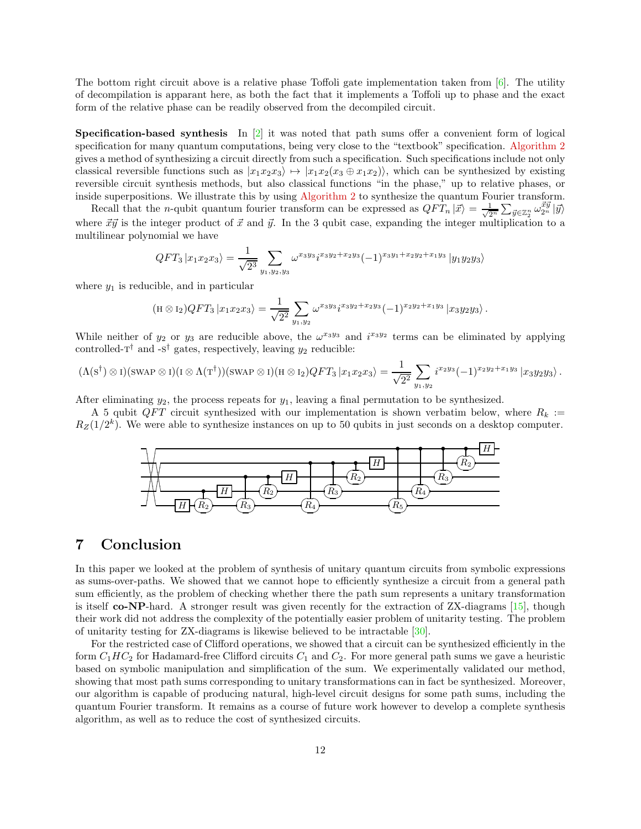The bottom right circuit above is a relative phase Toffoli gate implementation taken from [\[6\]](#page-12-16). The utility of decompilation is apparant here, as both the fact that it implements a Toffoli up to phase and the exact form of the relative phase can be readily observed from the decompiled circuit.

**Specification-based synthesis** In  $\boxed{2}$  it was noted that path sums offer a convenient form of logical specification for many quantum computations, being very close to the "textbook" specification. [Algorithm 2](#page-9-0) gives a method of synthesizing a circuit directly from such a specification. Such specifications include not only classical reversible functions such as  $|x_1x_2x_3\rangle \mapsto |x_1x_2(x_3 \oplus x_1x_2)\rangle$ , which can be synthesized by existing reversible circuit synthesis methods, but also classical functions "in the phase," up to relative phases, or inside superpositions. We illustrate this by using [Algorithm 2](#page-9-0) to synthesize the quantum Fourier transform.

Recall that the *n*-qubit quantum fourier transform can be expressed as  $QFT_n|\vec{x}\rangle = \frac{1}{\sqrt{2^n}}\sum_{\vec{y}\in\mathbb{Z}_2^n} \omega_{2^n}^{\vec{x}\vec{y}}|\vec{y}\rangle$ where  $\vec{x} \vec{y}$  is the integer product of  $\vec{x}$  and  $\vec{y}$ . In the 3 qubit case, expanding the integer multiplication to a multilinear polynomial we have

$$
QFT_3 | x_1 x_2 x_3 \rangle = \frac{1}{\sqrt{2^3}} \sum_{y_1, y_2, y_3} \omega^{x_3 y_3} i^{x_3 y_2 + x_2 y_3} (-1)^{x_3 y_1 + x_2 y_2 + x_1 y_3} | y_1 y_2 y_3 \rangle
$$

where  $y_1$  is reducible, and in particular

$$
(\mathrm{H} \otimes I_2) QFT_3 |x_1x_2x_3\rangle = \frac{1}{\sqrt{2^2}} \sum_{y_1, y_2} \omega^{x_3y_3} i^{x_3y_2 + x_2y_3} (-1)^{x_2y_2 + x_1y_3} |x_3y_2y_3\rangle.
$$

While neither of  $y_2$  or  $y_3$  are reducible above, the  $\omega^{x_3y_3}$  and  $i^{x_3y_2}$  terms can be eliminated by applying controlled- $T^{\dagger}$  and -s<sup>†</sup> gates, respectively, leaving  $y_2$  reducible:

$$
(\Lambda(\mathbf{s}^{\dagger})\otimes\mathbf{I})(\text{swap}\otimes\mathbf{I})(\mathbf{I}\otimes\Lambda(\mathbf{T}^{\dagger}))(\text{swap}\otimes\mathbf{I})(\mathbf{H}\otimes\mathbf{I}_2)QFT_3|x_1x_2x_3\rangle=\frac{1}{\sqrt{2^2}}\sum_{y_1,y_2}i^{x_2y_3}(-1)^{x_2y_2+x_1y_3}|x_3y_2y_3\rangle.
$$

After eliminating  $y_2$ , the process repeats for  $y_1$ , leaving a final permutation to be synthesized.

A 5 qubit  $QFT$  circuit synthesized with our implementation is shown verbatim below, where  $R_k :=$  $R_Z(1/2^k)$ . We were able to synthesize instances on up to 50 qubits in just seconds on a desktop computer.



## 7 Conclusion

In this paper we looked at the problem of synthesis of unitary quantum circuits from symbolic expressions as sums-over-paths. We showed that we cannot hope to efficiently synthesize a circuit from a general path sum efficiently, as the problem of checking whether there the path sum represents a unitary transformation is itself co-NP-hard. A stronger result was given recently for the extraction of  $ZX$ -diagrams  $[15]$ , though their work did not address the complexity of the potentially easier problem of unitarity testing. The problem of unitarity testing for ZX-diagrams is likewise believed to be intractable [\[30\]](#page-13-14).

For the restricted case of Clifford operations, we showed that a circuit can be synthesized efficiently in the form  $C_1HC_2$  for Hadamard-free Clifford circuits  $C_1$  and  $C_2$ . For more general path sums we gave a heuristic based on symbolic manipulation and simplification of the sum. We experimentally validated our method, showing that most path sums corresponding to unitary transformations can in fact be synthesized. Moreover, our algorithm is capable of producing natural, high-level circuit designs for some path sums, including the quantum Fourier transform. It remains as a course of future work however to develop a complete synthesis algorithm, as well as to reduce the cost of synthesized circuits.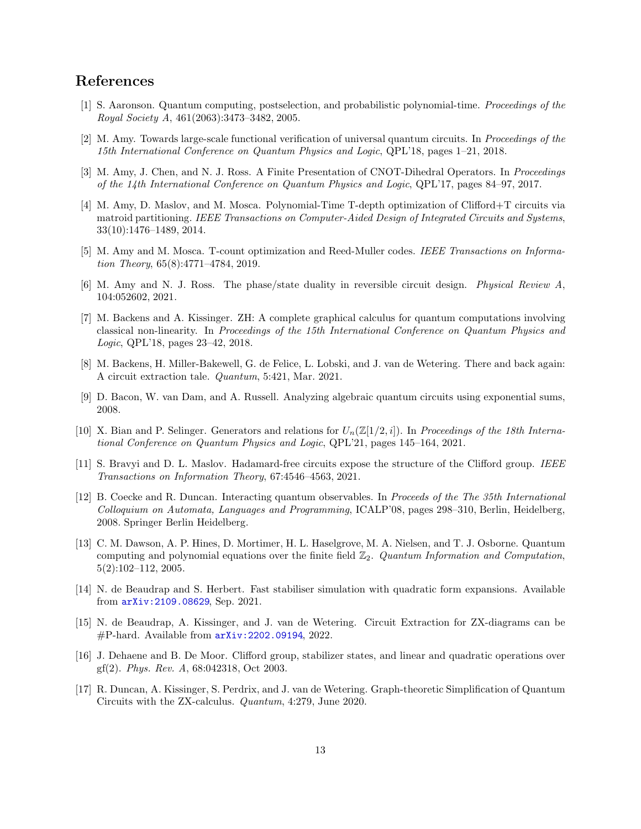# <span id="page-12-12"></span>References

- <span id="page-12-7"></span>[1] S. Aaronson. Quantum computing, postselection, and probabilistic polynomial-time. Proceedings of the Royal Society A, 461(2063):3473–3482, 2005.
- <span id="page-12-0"></span>[2] M. Amy. Towards large-scale functional verification of universal quantum circuits. In Proceedings of the 15th International Conference on Quantum Physics and Logic, QPL'18, pages 1–21, 2018.
- <span id="page-12-14"></span>[3] M. Amy, J. Chen, and N. J. Ross. A Finite Presentation of CNOT-Dihedral Operators. In Proceedings of the 14th International Conference on Quantum Physics and Logic, QPL'17, pages 84–97, 2017.
- [4] M. Amy, D. Maslov, and M. Mosca. Polynomial-Time T-depth optimization of Clifford+T circuits via matroid partitioning. IEEE Transactions on Computer-Aided Design of Integrated Circuits and Systems, 33(10):1476–1489, 2014.
- <span id="page-12-16"></span><span id="page-12-15"></span>[5] M. Amy and M. Mosca. T-count optimization and Reed-Muller codes. IEEE Transactions on Information Theory, 65(8):4771–4784, 2019.
- [6] M. Amy and N. J. Ross. The phase/state duality in reversible circuit design. Physical Review A, 104:052602, 2021.
- <span id="page-12-3"></span>[7] M. Backens and A. Kissinger. ZH: A complete graphical calculus for quantum computations involving classical non-linearity. In Proceedings of the 15th International Conference on Quantum Physics and Logic, QPL'18, pages 23–42, 2018.
- <span id="page-12-10"></span><span id="page-12-5"></span>[8] M. Backens, H. Miller-Bakewell, G. de Felice, L. Lobski, and J. van de Wetering. There and back again: A circuit extraction tale. Quantum, 5:421, Mar. 2021.
- <span id="page-12-1"></span>[9] D. Bacon, W. van Dam, and A. Russell. Analyzing algebraic quantum circuits using exponential sums, 2008.
- [10] X. Bian and P. Selinger. Generators and relations for  $U_n(\mathbb{Z}[1/2, i])$ . In Proceedings of the 18th International Conference on Quantum Physics and Logic, QPL'21, pages 145–164, 2021.
- <span id="page-12-8"></span>[11] S. Bravyi and D. L. Maslov. Hadamard-free circuits expose the structure of the Clifford group. IEEE Transactions on Information Theory, 67:4546–4563, 2021.
- <span id="page-12-2"></span>[12] B. Coecke and R. Duncan. Interacting quantum observables. In Proceeds of the The 35th International Colloquium on Automata, Languages and Programming, ICALP'08, pages 298–310, Berlin, Heidelberg, 2008. Springer Berlin Heidelberg.
- <span id="page-12-9"></span>[13] C. M. Dawson, A. P. Hines, D. Mortimer, H. L. Haselgrove, M. A. Nielsen, and T. J. Osborne. Quantum computing and polynomial equations over the finite field  $\mathbb{Z}_2$ . Quantum Information and Computation, 5(2):102–112, 2005.
- <span id="page-12-11"></span>[14] N. de Beaudrap and S. Herbert. Fast stabiliser simulation with quadratic form expansions. Available from [arXiv:2109.08629](http://arxiv.org/abs/2109.08629), Sep. 2021.
- <span id="page-12-6"></span>[15] N. de Beaudrap, A. Kissinger, and J. van de Wetering. Circuit Extraction for ZX-diagrams can be #P-hard. Available from [arXiv:2202.09194](http://arxiv.org/abs/2202.09194), 2022.
- <span id="page-12-13"></span>[16] J. Dehaene and B. De Moor. Clifford group, stabilizer states, and linear and quadratic operations over gf(2). Phys. Rev. A, 68:042318, Oct 2003.
- <span id="page-12-4"></span>[17] R. Duncan, A. Kissinger, S. Perdrix, and J. van de Wetering. Graph-theoretic Simplification of Quantum Circuits with the ZX-calculus. Quantum, 4:279, June 2020.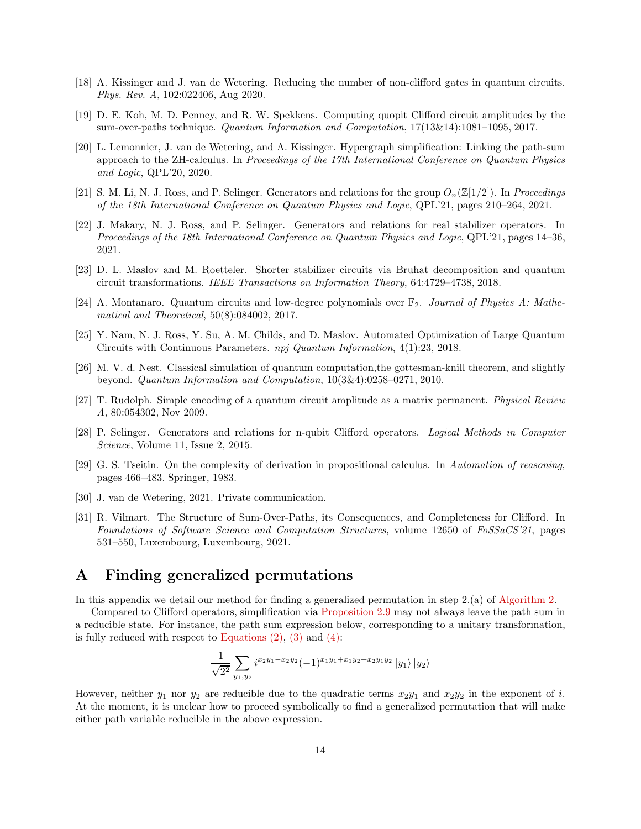- <span id="page-13-13"></span><span id="page-13-7"></span>[18] A. Kissinger and J. van de Wetering. Reducing the number of non-clifford gates in quantum circuits. Phys. Rev. A, 102:022406, Aug 2020.
- <span id="page-13-8"></span>[19] D. E. Koh, M. D. Penney, and R. W. Spekkens. Computing quopit Clifford circuit amplitudes by the sum-over-paths technique. Quantum Information and Computation, 17(13&14):1081–1095, 2017.
- [20] L. Lemonnier, J. van de Wetering, and A. Kissinger. Hypergraph simplification: Linking the path-sum approach to the ZH-calculus. In Proceedings of the 17th International Conference on Quantum Physics and Logic, QPL'20, 2020.
- <span id="page-13-2"></span><span id="page-13-1"></span>[21] S. M. Li, N. J. Ross, and P. Selinger. Generators and relations for the group  $O_n(\mathbb{Z}[1/2])$ . In Proceedings of the 18th International Conference on Quantum Physics and Logic, QPL'21, pages 210–264, 2021.
- [22] J. Makary, N. J. Ross, and P. Selinger. Generators and relations for real stabilizer operators. In Proceedings of the 18th International Conference on Quantum Physics and Logic, QPL'21, pages 14–36, 2021.
- <span id="page-13-6"></span><span id="page-13-3"></span>[23] D. L. Maslov and M. Roetteler. Shorter stabilizer circuits via Bruhat decomposition and quantum circuit transformations. IEEE Transactions on Information Theory, 64:4729–4738, 2018.
- <span id="page-13-12"></span>[24] A. Montanaro. Quantum circuits and low-degree polynomials over  $\mathbb{F}_2$ . Journal of Physics A: Mathematical and Theoretical, 50(8):084002, 2017.
- [25] Y. Nam, N. J. Ross, Y. Su, A. M. Childs, and D. Maslov. Automated Optimization of Large Quantum Circuits with Continuous Parameters. npj Quantum Information, 4(1):23, 2018.
- <span id="page-13-10"></span>[26] M. V. d. Nest. Classical simulation of quantum computation,the gottesman-knill theorem, and slightly beyond. Quantum Information and Computation, 10(3&4):0258–0271, 2010.
- <span id="page-13-5"></span><span id="page-13-0"></span>[27] T. Rudolph. Simple encoding of a quantum circuit amplitude as a matrix permanent. Physical Review A, 80:054302, Nov 2009.
- [28] P. Selinger. Generators and relations for n-qubit Clifford operators. Logical Methods in Computer Science, Volume 11, Issue 2, 2015.
- <span id="page-13-9"></span>[29] G. S. Tseitin. On the complexity of derivation in propositional calculus. In Automation of reasoning, pages 466–483. Springer, 1983.
- <span id="page-13-14"></span><span id="page-13-4"></span>[30] J. van de Wetering, 2021. Private communication.
- [31] R. Vilmart. The Structure of Sum-Over-Paths, its Consequences, and Completeness for Clifford. In Foundations of Software Science and Computation Structures, volume 12650 of FoSSaCS'21, pages 531–550, Luxembourg, Luxembourg, 2021.

# <span id="page-13-11"></span>A Finding generalized permutations

In this appendix we detail our method for finding a generalized permutation in step 2.(a) of [Algorithm 2.](#page-9-0)

Compared to Clifford operators, simplification via [Proposition 2.9](#page-3-4) may not always leave the path sum in a reducible state. For instance, the path sum expression below, corresponding to a unitary transformation, is fully reduced with respect to Equations  $(2)$ ,  $(3)$  and  $(4)$ :

$$
\frac{1}{\sqrt{2^2}}\sum_{y_1,y_2} i^{x_2y_1-x_2y_2}(-1)^{x_1y_1+x_1y_2+x_2y_1y_2}|y_1\rangle\,|y_2\rangle
$$

However, neither  $y_1$  nor  $y_2$  are reducible due to the quadratic terms  $x_2y_1$  and  $x_2y_2$  in the exponent of i. At the moment, it is unclear how to proceed symbolically to find a generalized permutation that will make either path variable reducible in the above expression.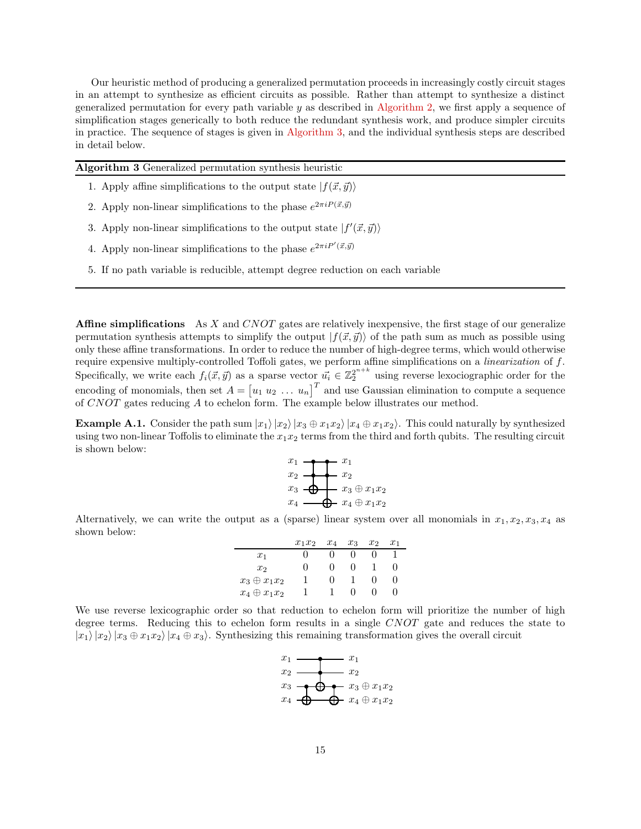Our heuristic method of producing a generalized permutation proceeds in increasingly costly circuit stages in an attempt to synthesize as efficient circuits as possible. Rather than attempt to synthesize a distinct generalized permutation for every path variable  $y$  as described in [Algorithm 2,](#page-9-0) we first apply a sequence of simplification stages generically to both reduce the redundant synthesis work, and produce simpler circuits in practice. The sequence of stages is given in [Algorithm 3,](#page-14-0) and the individual synthesis steps are described in detail below.

<span id="page-14-0"></span>

| Algorithm 3 Generalized permutation synthesis heuristic                                |  |
|----------------------------------------------------------------------------------------|--|
| 1. Apply affine simplifications to the output state $ f(\vec{x}, \vec{y})\rangle$      |  |
| 2. Apply non-linear simplifications to the phase $e^{2\pi i P(\vec{x}, \vec{y})}$      |  |
| 3. Apply non-linear simplifications to the output state $ f'(\vec{x}, \vec{y})\rangle$ |  |

- 4. Apply non-linear simplifications to the phase  $e^{2\pi i P'(\vec{x}, \vec{y})}$
- 5. If no path variable is reducible, attempt degree reduction on each variable

**Affine simplifications** As X and CNOT gates are relatively inexpensive, the first stage of our generalize permutation synthesis attempts to simplify the output  $|f(\vec{x}, \vec{y})\rangle$  of the path sum as much as possible using only these affine transformations. In order to reduce the number of high-degree terms, which would otherwise require expensive multiply-controlled Toffoli gates, we perform affine simplifications on a linearization of f. Specifically, we write each  $f_i(\vec{x}, \vec{y})$  as a sparse vector  $\vec{u_i} \in \mathbb{Z}_2^{2^{n+k}}$  using reverse lexociographic order for the encoding of monomials, then set  $A = [u_1 u_2 ... u_n]^T$  and use Gaussian elimination to compute a sequence of CNOT gates reducing A to echelon form. The example below illustrates our method.

**Example A.1.** Consider the path sum  $|x_1\rangle |x_2\rangle |x_3 \oplus x_1x_2\rangle |x_4 \oplus x_1x_2\rangle$ . This could naturally by synthesized using two non-linear Toffolis to eliminate the  $x_1x_2$  terms from the third and forth qubits. The resulting circuit is shown below:



Alternatively, we can write the output as a (sparse) linear system over all monomials in  $x_1, x_2, x_3, x_4$  as shown below:

|                     | $x_1x_2$ | $x_4$      | $x_3$ | $x_2$ | $x_1$ |
|---------------------|----------|------------|-------|-------|-------|
| $x_1$               |          |            |       |       |       |
| x <sub>2</sub>      |          | 0          | 0     |       |       |
| $x_3 \oplus x_1x_2$ |          | $^{\circ}$ |       |       |       |
| $x_4 \oplus x_1x_2$ |          |            | 0     |       |       |

We use reverse lexicographic order so that reduction to echelon form will prioritize the number of high degree terms. Reducing this to echelon form results in a single CNOT gate and reduces the state to  $|x_1\rangle |x_2\rangle |x_3 \oplus x_1x_2\rangle |x_4 \oplus x_3\rangle$ . Synthesizing this remaining transformation gives the overall circuit

| $x_1$            | $x_1$               |
|------------------|---------------------|
| $x_2$            | Xэ                  |
| $x_3$            | $x_3 \oplus x_1x_2$ |
| $\boldsymbol{x}$ | $x_4 \oplus x_1x_2$ |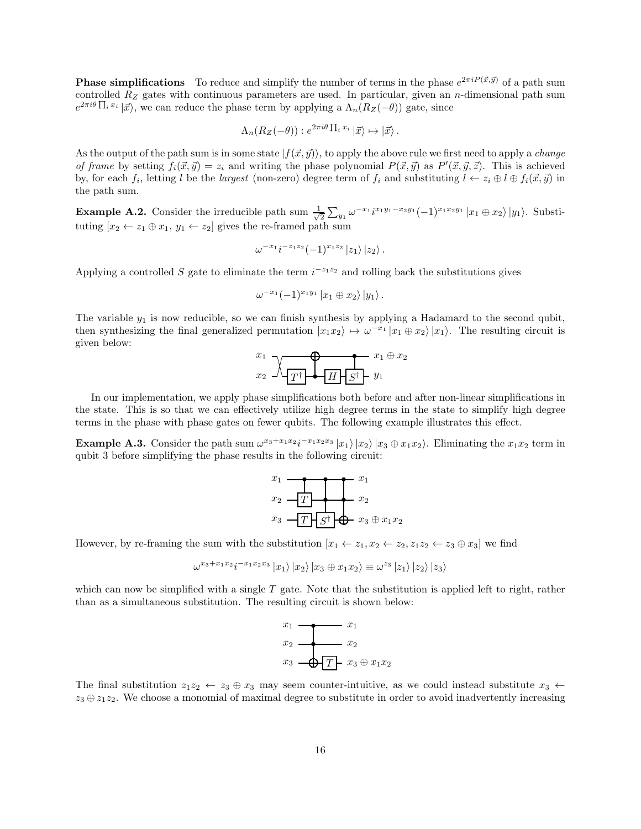**Phase simplifications** To reduce and simplify the number of terms in the phase  $e^{2\pi i P(\vec{x}, \vec{y})}$  of a path sum controlled  $R_Z$  gates with continuous parameters are used. In particular, given an *n*-dimensional path sum  $e^{2\pi i\theta \prod_i x_i} \ket{\vec{x}}$ , we can reduce the phase term by applying a  $\Lambda_n(R_Z(-\theta))$  gate, since

$$
\Lambda_n(R_Z(-\theta)) : e^{2\pi i\theta \prod_i x_i} |\vec{x}\rangle \mapsto |\vec{x}\rangle.
$$

As the output of the path sum is in some state  $|f(\vec{x}, \vec{y})\rangle$ , to apply the above rule we first need to apply a *change* of frame by setting  $f_i(\vec{x}, \vec{y}) = z_i$  and writing the phase polynomial  $P(\vec{x}, \vec{y})$  as  $P'(\vec{x}, \vec{y}, \vec{z})$ . This is achieved by, for each  $f_i$ , letting l be the largest (non-zero) degree term of  $f_i$  and substituting  $l \leftarrow z_i \oplus l \oplus f_i(\vec{x}, \vec{y})$  in the path sum.

**Example A.2.** Consider the irreducible path sum  $\frac{1}{\sqrt{2}}$  $\sum_{2} \sum_{y_1} \omega^{-x_1} i^{x_1 y_1 - x_2 y_1} (-1)^{x_1 x_2 y_1} |x_1 \oplus x_2\rangle |y_1\rangle$ . Substituting  $[x_2 \leftarrow z_1 \oplus x_1, y_1 \leftarrow z_2]$  gives the re-framed path sum

$$
\omega^{-x_1}i^{-z_1z_2}(-1)^{x_1z_2}\left|z_1\right\rangle\left|z_2\right\rangle.
$$

Applying a controlled S gate to eliminate the term  $i^{-z_1z_2}$  and rolling back the substitutions gives

$$
\omega^{-x_1}(-1)^{x_1y_1}\ket{x_1\oplus x_2}\ket{y_1}.
$$

The variable  $y_1$  is now reducible, so we can finish synthesis by applying a Hadamard to the second qubit, then synthesizing the final generalized permutation  $|x_1x_2\rangle \mapsto \omega^{-x_1}|x_1 \oplus x_2\rangle |x_1\rangle$ . The resulting circuit is given below:

$$
\begin{array}{c}\n x_1 \\
 x_2\n\end{array}\n\begin{array}{c}\n\bigvee \\
\hline\n\end{array}\n\begin{array}{c}\n\bigvee \\
\hline\n\end{array}\n\begin{array}{c}\n\bigvee \\
\hline\n\end{array}\n\begin{array}{c}\nH \\
\hline\n\end{array}\n\begin{array}{c}\nS^{\dagger} \\
\hline\n\end{array}\n\end{array}\n\begin{array}{c}\n\end{array}\n\begin{array}{c}\n\end{array}\n\begin{array}{c}\n\end{array}\n\end{array}
$$

In our implementation, we apply phase simplifications both before and after non-linear simplifications in the state. This is so that we can effectively utilize high degree terms in the state to simplify high degree terms in the phase with phase gates on fewer qubits. The following example illustrates this effect.

**Example A.3.** Consider the path sum  $\omega^{x_3+x_1x_2}i^{-x_1x_2x_3}|x_1\rangle|x_2\rangle|x_3\oplus x_1x_2\rangle$ . Eliminating the  $x_1x_2$  term in qubit 3 before simplifying the phase results in the following circuit:

$$
x_1
$$
\n
$$
x_2
$$
\n
$$
T
$$
\n
$$
x_3
$$
\n
$$
T
$$
\n
$$
S^{\dagger}
$$
\n
$$
x_1
$$
\n
$$
x_2
$$
\n
$$
x_3 \oplus x_1 x_2
$$

However, by re-framing the sum with the substitution  $[x_1 \leftarrow z_1, x_2 \leftarrow z_2, z_1z_2 \leftarrow z_3 \oplus x_3]$  we find

$$
\omega^{x_3+x_1x_2}i^{-x_1x_2x_3}\ket{x_1}\ket{x_2}\ket{x_3\oplus x_1x_2}\equiv \omega^{z_3}\ket{z_1}\ket{z_2}\ket{z_3}
$$

which can now be simplified with a single  $T$  gate. Note that the substitution is applied left to right, rather than as a simultaneous substitution. The resulting circuit is shown below:



The final substitution  $z_1z_2 \leftarrow z_3 \oplus x_3$  may seem counter-intuitive, as we could instead substitute  $x_3 \leftarrow$  $z_3 \oplus z_1 z_2$ . We choose a monomial of maximal degree to substitute in order to avoid inadvertently increasing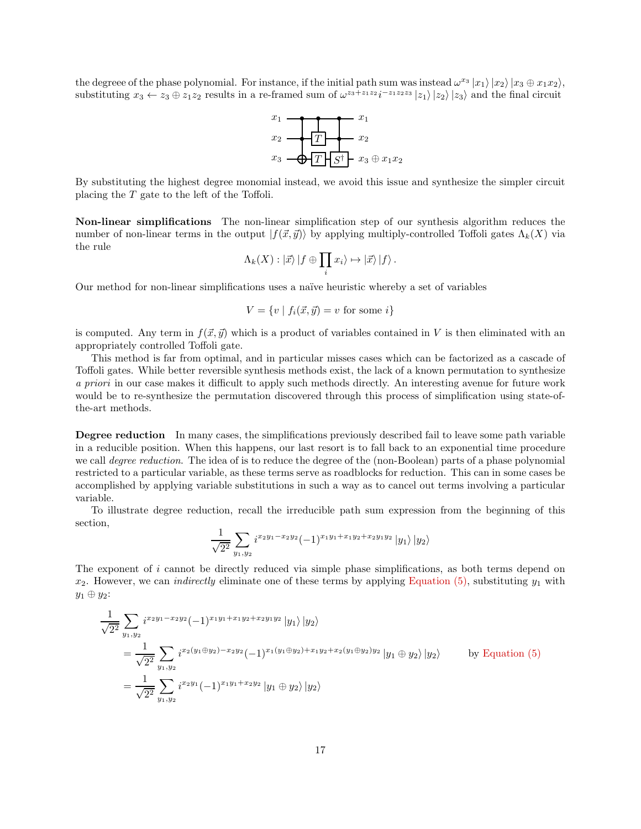the degreee of the phase polynomial. For instance, if the initial path sum was instead  $\omega^{x_3} |x_1\rangle |x_2\rangle |x_3 \oplus x_1x_2\rangle$ , substituting  $x_3 \leftarrow z_3 \oplus z_1 z_2$  results in a re-framed sum of  $\omega^{z_3+z_1z_2}i^{-z_1z_2z_3} |z_1\rangle |z_2\rangle |z_3\rangle$  and the final circuit

$$
\begin{array}{c}\nx_1 \\
x_2 \\
\hline\nT \\
x_3\n\end{array}\n\qquad\n\begin{array}{c}\nx_1 \\
\hline\nT \\
\hline\nS^{\dagger} \\
x_3\n\end{array}\n\qquad\n\begin{array}{c}\nx_1 \\
x_2 \\
\hline\n\end{array}
$$

By substituting the highest degree monomial instead, we avoid this issue and synthesize the simpler circuit placing the  $T$  gate to the left of the Toffoli.

Non-linear simplifications The non-linear simplification step of our synthesis algorithm reduces the number of non-linear terms in the output  $|f(\vec{x}, \vec{y})\rangle$  by applying multiply-controlled Toffoli gates  $\Lambda_k(X)$  via the rule

$$
\Lambda_k(X): |\vec{x}\rangle |f \oplus \prod_i x_i\rangle \mapsto |\vec{x}\rangle |f\rangle.
$$

Our method for non-linear simplifications uses a naïve heuristic whereby a set of variables

$$
V = \{ v \mid f_i(\vec{x}, \vec{y}) = v \text{ for some } i \}
$$

is computed. Any term in  $f(\vec{x}, \vec{y})$  which is a product of variables contained in V is then eliminated with an appropriately controlled Toffoli gate.

This method is far from optimal, and in particular misses cases which can be factorized as a cascade of Toffoli gates. While better reversible synthesis methods exist, the lack of a known permutation to synthesize a priori in our case makes it difficult to apply such methods directly. An interesting avenue for future work would be to re-synthesize the permutation discovered through this process of simplification using state-ofthe-art methods.

Degree reduction In many cases, the simplifications previously described fail to leave some path variable in a reducible position. When this happens, our last resort is to fall back to an exponential time procedure we call *degree reduction*. The idea of is to reduce the degree of the (non-Boolean) parts of a phase polynomial restricted to a particular variable, as these terms serve as roadblocks for reduction. This can in some cases be accomplished by applying variable substitutions in such a way as to cancel out terms involving a particular variable.

To illustrate degree reduction, recall the irreducible path sum expression from the beginning of this section,

$$
\frac{1}{\sqrt{2^2}}\sum_{y_1,y_2} i^{x_2y_1-x_2y_2}(-1)^{x_1y_1+x_1y_2+x_2y_1y_2}|y_1\rangle\,|y_2\rangle
$$

The exponent of i cannot be directly reduced via simple phase simplifications, as both terms depend on  $x_2$ . However, we can *indirectly* eliminate one of these terms by applying [Equation \(5\),](#page-3-3) substituting  $y_1$  with  $y_1 \oplus y_2$ :

$$
\frac{1}{\sqrt{2^2}} \sum_{y_1, y_2} i^{x_2 y_1 - x_2 y_2} (-1)^{x_1 y_1 + x_1 y_2 + x_2 y_1 y_2} |y_1\rangle |y_2\rangle
$$
\n
$$
= \frac{1}{\sqrt{2^2}} \sum_{y_1, y_2} i^{x_2 (y_1 \oplus y_2) - x_2 y_2} (-1)^{x_1 (y_1 \oplus y_2) + x_1 y_2 + x_2 (y_1 \oplus y_2) y_2} |y_1 \oplus y_2\rangle |y_2\rangle \qquad \text{by Equation (5)}
$$
\n
$$
= \frac{1}{\sqrt{2^2}} \sum_{y_1, y_2} i^{x_2 y_1} (-1)^{x_1 y_1 + x_2 y_2} |y_1 \oplus y_2\rangle |y_2\rangle
$$